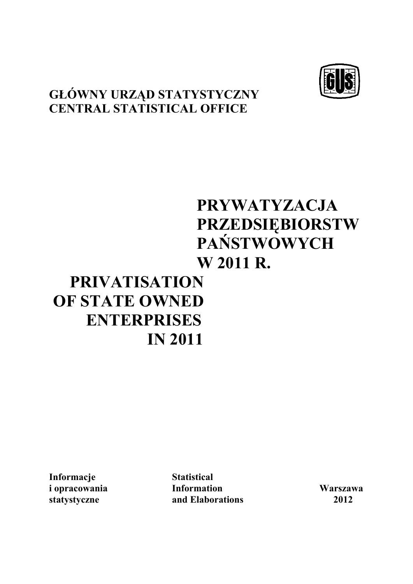# **GŁÓWNY URZĄD STATYSTYCZNY CENTRAL STATISTICAL OFFICE**

# **PRYWATYZACJA PRZEDSIĘBIORSTW PAŃSTWOWYCH W 2011 R.**

# **PRIVATISATION OF STATE OWNED ENTERPRISES IN 2011**

**Informacje Statistical** 

**i opracowania Information Warszawa statystyczne and Elaborations 2012**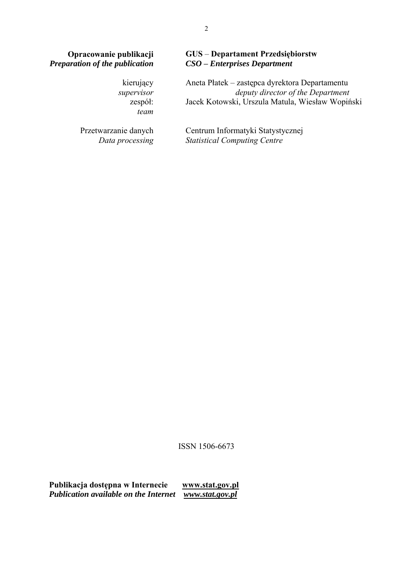zespół: *team* 

Przetwarzanie danych *Data processing*

#### **Opracowanie publikacji** GUS – **Departament Przedsiębiorstw** *Preparation of the publication CSO – Enterprises Department Preparation of the publication CSO* **–** *Enterprises Department*

kierujący Aneta Płatek – zastępca dyrektora Departamentu *supervisor deputy director of the Department* Jacek Kotowski, Urszula Matula, Wiesław Wopiński

> Centrum Informatyki Statystycznej *Statistical Computing Centre*

ISSN 1506-6673

**Publikacja dostępna w Internecie [www.stat.gov.pl](http://www.stat.gov.pl/)**  *Publication available on the Internet [www.stat.gov.pl](http://www.stat.gov.pl/)*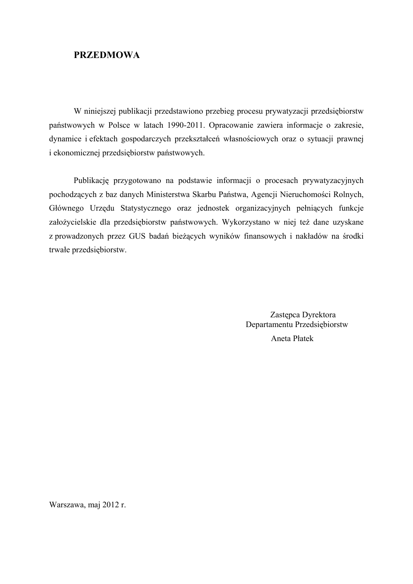### **PRZEDMOWA**

 W niniejszej publikacji przedstawiono przebieg procesu prywatyzacji przedsiębiorstw państwowych w Polsce w latach 1990-2011. Opracowanie zawiera informacje o zakresie, dynamice i efektach gospodarczych przekształceń własnościowych oraz o sytuacji prawnej i ekonomicznej przedsiębiorstw państwowych.

Publikację przygotowano na podstawie informacji o procesach prywatyzacyjnych pochodzących z baz danych Ministerstwa Skarbu Państwa, Agencji Nieruchomości Rolnych, Głównego Urzędu Statystycznego oraz jednostek organizacyjnych pełniących funkcje założycielskie dla przedsiębiorstw państwowych. Wykorzystano w niej też dane uzyskane z prowadzonych przez GUS badań bieżących wyników finansowych i nakładów na środki trwałe przedsiębiorstw.

> Zastępca Dyrektora Departamentu Przedsiębiorstw Aneta Płatek

Warszawa, maj 2012 r.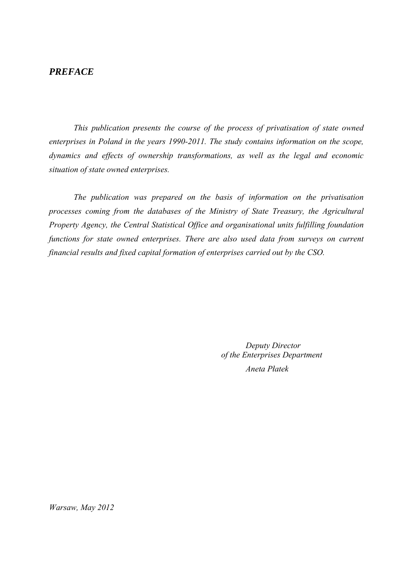#### *PREFACE*

*This publication presents the course of the process of privatisation of state owned enterprises in Poland in the years 1990-2011. The study contains information on the scope, dynamics and effects of ownership transformations, as well as the legal and economic situation of state owned enterprises.* 

*The publication was prepared on the basis of information on the privatisation processes coming from the databases of the Ministry of State Treasury, the Agricultural Property Agency, the Central Statistical Office and organisational units fulfilling foundation functions for state owned enterprises. There are also used data from surveys on current financial results and fixed capital formation of enterprises carried out by the CSO.* 

> *Deputy Director of the Enterprises Department Aneta Płatek*

*Warsaw, May 2012*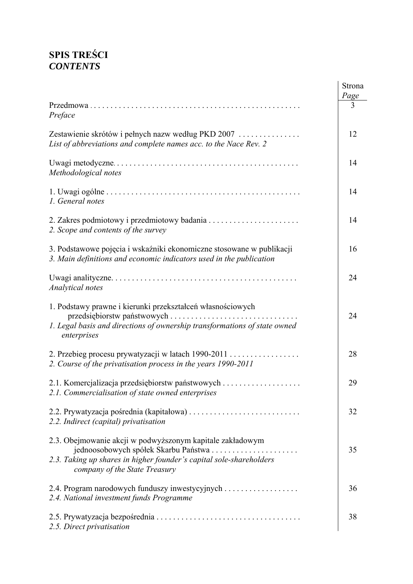# **SPIS TREŚCI**  *CONTENTS*

|                                                                                                                                                                   | Strona<br>Page |
|-------------------------------------------------------------------------------------------------------------------------------------------------------------------|----------------|
| Preface                                                                                                                                                           | 3              |
| Zestawienie skrótów i pełnych nazw według PKD 2007<br>List of abbreviations and complete names acc. to the Nace Rev. 2                                            | 12             |
| Methodological notes                                                                                                                                              | 14             |
| 1. General notes                                                                                                                                                  | 14             |
| 2. Scope and contents of the survey                                                                                                                               | 14             |
| 3. Podstawowe pojęcia i wskaźniki ekonomiczne stosowane w publikacji<br>3. Main definitions and economic indicators used in the publication                       | 16             |
| Analytical notes                                                                                                                                                  | 24             |
| 1. Podstawy prawne i kierunki przekształceń własnościowych<br>1. Legal basis and directions of ownership transformations of state owned<br>enterprises            | 24             |
| 2. Przebieg procesu prywatyzacji w latach 1990-2011<br>2. Course of the privatisation process in the years 1990-2011                                              | 28             |
| 2.1. Commercialisation of state owned enterprises                                                                                                                 | 29             |
| 2.2. Indirect (capital) privatisation                                                                                                                             | 32             |
| 2.3. Obejmowanie akcji w podwyższonym kapitale zakładowym<br>2.3. Taking up shares in higher founder's capital sole-shareholders<br>company of the State Treasury | 35             |
| 2.4. Program narodowych funduszy inwestycyjnych<br>2.4. National investment funds Programme                                                                       | 36             |
| 2.5. Direct privatisation                                                                                                                                         | 38             |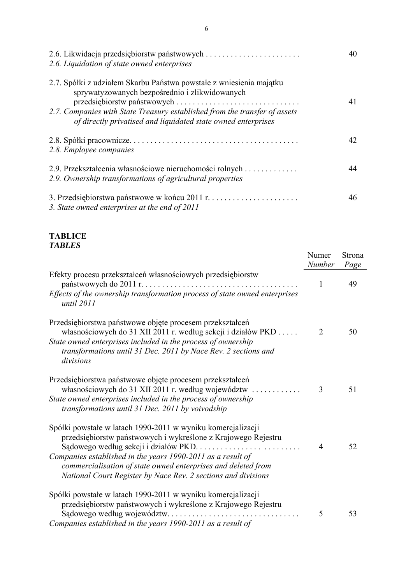| 2.6. Liquidation of state owned enterprises                                                                                                                                                                                                                                                                                   |                 | 40             |
|-------------------------------------------------------------------------------------------------------------------------------------------------------------------------------------------------------------------------------------------------------------------------------------------------------------------------------|-----------------|----------------|
| 2.7. Spółki z udziałem Skarbu Państwa powstałe z wniesienia majątku<br>sprywatyzowanych bezpośrednio i zlikwidowanych<br>przedsiębiorstw państwowych<br>2.7. Companies with State Treasury established from the transfer of assets<br>of directly privatised and liquidated state owned enterprises                           |                 | 41             |
| 2.8. Employee companies                                                                                                                                                                                                                                                                                                       |                 | 42             |
| 2.9. Przekształcenia własnościowe nieruchomości rolnych<br>2.9. Ownership transformations of agricultural properties                                                                                                                                                                                                          |                 | 44             |
| 3. State owned enterprises at the end of 2011                                                                                                                                                                                                                                                                                 |                 | 46             |
| <b>TABLICE</b><br><b>TABLES</b>                                                                                                                                                                                                                                                                                               | Numer<br>Number | Strona<br>Page |
| Efekty procesu przekształceń własnościowych przedsiębiorstw<br>Effects of the ownership transformation process of state owned enterprises<br>until 2011                                                                                                                                                                       | 1               | 49             |
| Przedsiębiorstwa państwowe objęte procesem przekształceń<br>własnościowych do 31 XII 2011 r. według sekcji i działów PKD<br>State owned enterprises included in the process of ownership<br>transformations until 31 Dec. 2011 by Nace Rev. 2 sections and<br>divisions                                                       | $\overline{2}$  | 50             |
| Przedsiębiorstwa państwowe objęte procesem przekształceń<br>własnościowych do 31 XII 2011 r. według województw<br>State owned enterprises included in the process of ownership<br>transformations until 31 Dec. 2011 by voivodship                                                                                            | 3               | 51             |
| Spółki powstałe w latach 1990-2011 w wyniku komercjalizacji<br>przedsiębiorstw państwowych i wykreślone z Krajowego Rejestru<br>Companies established in the years 1990-2011 as a result of<br>commercialisation of state owned enterprises and deleted from<br>National Court Register by Nace Rev. 2 sections and divisions | 4               | 52             |
| Spółki powstałe w latach 1990-2011 w wyniku komercjalizacji<br>przedsiębiorstw państwowych i wykreślone z Krajowego Rejestru<br>Companies established in the years 1990-2011 as a result of                                                                                                                                   | 5               | 53             |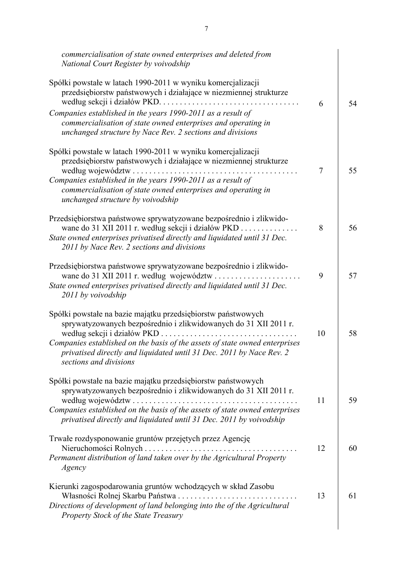| commercialisation of state owned enterprises and deleted from<br>National Court Register by voivodship                                                                                                                                                                                                                                                             |        |    |
|--------------------------------------------------------------------------------------------------------------------------------------------------------------------------------------------------------------------------------------------------------------------------------------------------------------------------------------------------------------------|--------|----|
| Spółki powstałe w latach 1990-2011 w wyniku komercjalizacji<br>przedsiębiorstw państwowych i działające w niezmiennej strukturze<br>Companies established in the years 1990-2011 as a result of<br>commercialisation of state owned enterprises and operating in                                                                                                   | 6      | 54 |
| unchanged structure by Nace Rev. 2 sections and divisions<br>Spółki powstałe w latach 1990-2011 w wyniku komercjalizacji<br>przedsiębiorstw państwowych i działające w niezmiennej strukturze<br>Companies established in the years 1990-2011 as a result of<br>commercialisation of state owned enterprises and operating in<br>unchanged structure by voivodship | $\tau$ | 55 |
| Przedsiębiorstwa państwowe sprywatyzowane bezpośrednio i zlikwido-<br>wane do 31 XII 2011 r. według sekcji i działów PKD<br>State owned enterprises privatised directly and liquidated until 31 Dec.<br>2011 by Nace Rev. 2 sections and divisions                                                                                                                 | 8      | 56 |
| Przedsiębiorstwa państwowe sprywatyzowane bezpośrednio i zlikwido-<br>State owned enterprises privatised directly and liquidated until 31 Dec.<br>2011 by voivodship                                                                                                                                                                                               | 9      | 57 |
| Spółki powstałe na bazie majątku przedsiębiorstw państwowych<br>sprywatyzowanych bezpośrednio i zlikwidowanych do 31 XII 2011 r.<br>według sekcji i działów PKD.<br>Companies established on the basis of the assets of state owned enterprises<br>privatised directly and liquidated until 31 Dec. 2011 by Nace Rev. 2<br>sections and divisions                  | 10     | 58 |
| Spółki powstałe na bazie majątku przedsiębiorstw państwowych<br>sprywatyzowanych bezpośrednio i zlikwidowanych do 31 XII 2011 r.<br>według województw<br>Companies established on the basis of the assets of state owned enterprises<br>privatised directly and liquidated until 31 Dec. 2011 by voivodship                                                        | 11     | 59 |
| Trwałe rozdysponowanie gruntów przejętych przez Agencję<br>Permanent distribution of land taken over by the Agricultural Property<br>Agency                                                                                                                                                                                                                        | 12     | 60 |
| Kierunki zagospodarowania gruntów wchodzących w skład Zasobu<br>Własności Rolnej Skarbu Państwa<br>Directions of development of land belonging into the of the Agricultural<br><b>Property Stock of the State Treasury</b>                                                                                                                                         | 13     | 61 |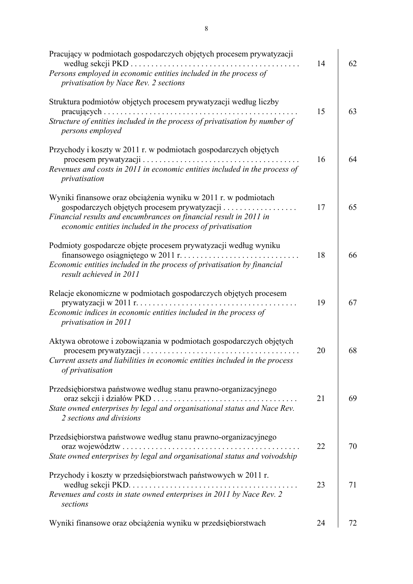| Pracujący w podmiotach gospodarczych objętych procesem prywatyzacji<br>według sekcji PKD<br>Persons employed in economic entities included in the process of                                                                                           | 14 | 62 |
|--------------------------------------------------------------------------------------------------------------------------------------------------------------------------------------------------------------------------------------------------------|----|----|
| privatisation by Nace Rev. 2 sections<br>Struktura podmiotów objętych procesem prywatyzacji według liczby<br>Structure of entities included in the process of privatisation by number of<br>persons employed                                           | 15 | 63 |
| Przychody i koszty w 2011 r. w podmiotach gospodarczych objętych<br>Revenues and costs in 2011 in economic entities included in the process of<br>privatisation                                                                                        | 16 | 64 |
| Wyniki finansowe oraz obciążenia wyniku w 2011 r. w podmiotach<br>gospodarczych objętych procesem prywatyzacji<br>Financial results and encumbrances on financial result in 2011 in<br>economic entities included in the process of privatisation      | 17 | 65 |
| Podmioty gospodarcze objęte procesem prywatyzacji według wyniku<br>$\begin{array}{cccccccccccccc} . & . & . & . & . & . & . & . & . \end{array}$<br>Economic entities included in the process of privatisation by financial<br>result achieved in 2011 | 18 | 66 |
| Relacje ekonomiczne w podmiotach gospodarczych objętych procesem<br>prywatyzacji w 2011 r. $\dots \dots \dots \dots \dots \dots \dots \dots \dots$<br>Economic indices in economic entities included in the process of<br>privatisation in 2011        | 19 | 67 |
| Aktywa obrotowe i zobowiązania w podmiotach gospodarczych objętych<br>Current assets and liabilities in economic entities included in the process<br>of privatisation                                                                                  | 20 | 68 |
| Przedsiębiorstwa państwowe według stanu prawno-organizacyjnego<br>State owned enterprises by legal and organisational status and Nace Rev.<br>2 sections and divisions                                                                                 | 21 | 69 |
| Przedsiębiorstwa państwowe według stanu prawno-organizacyjnego<br>oraz województw.<br>State owned enterprises by legal and organisational status and voivodship                                                                                        | 22 | 70 |
| Przychody i koszty w przedsiębiorstwach państwowych w 2011 r.<br>Revenues and costs in state owned enterprises in 2011 by Nace Rev. 2<br>sections                                                                                                      | 23 | 71 |
| Wyniki finansowe oraz obciążenia wyniku w przedsiębiorstwach                                                                                                                                                                                           | 24 | 72 |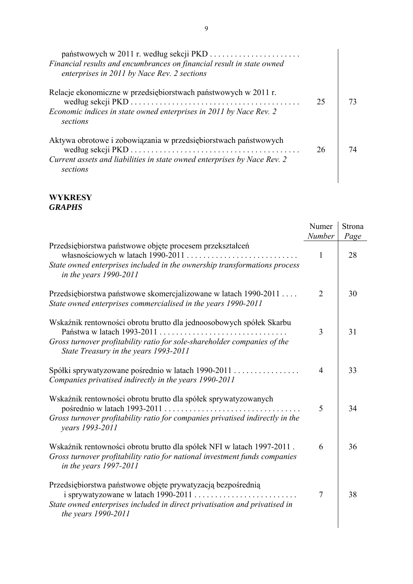| Financial results and encumbrances on financial result in state owned<br>enterprises in 2011 by Nace Rev. 2 sections                                    |    |  |
|---------------------------------------------------------------------------------------------------------------------------------------------------------|----|--|
| Relacje ekonomiczne w przedsiębiorstwach państwowych w 2011 r.<br>Economic indices in state owned enterprises in 2011 by Nace Rev. 2<br>sections        | 25 |  |
| Aktywa obrotowe i zobowiązania w przedsiębiorstwach państwowych<br>Current assets and liabilities in state owned enterprises by Nace Rev. 2<br>sections | 26 |  |

#### **WYKRESY**  *GRAPHS*

|                                                                                                                                                                               | Numer          | Strona     |
|-------------------------------------------------------------------------------------------------------------------------------------------------------------------------------|----------------|------------|
| Przedsiębiorstwa państwowe objęte procesem przekształceń                                                                                                                      | Number<br>1    | Page<br>28 |
| State owned enterprises included in the ownership transformations process<br>in the years 1990-2011                                                                           |                |            |
| Przedsiębiorstwa państwowe skomercjalizowane w latach 1990-2011<br>State owned enterprises commercialised in the years 1990-2011                                              | $\overline{2}$ | 30         |
| Wskaźnik rentowności obrotu brutto dla jednoosobowych spółek Skarbu<br>Państwa w latach 1993-2011                                                                             | 3              | 31         |
| Gross turnover profitability ratio for sole-shareholder companies of the<br>State Treasury in the years 1993-2011                                                             |                |            |
| Spółki sprywatyzowane pośrednio w latach 1990-2011<br>Companies privatised indirectly in the years 1990-2011                                                                  | $\overline{4}$ | 33         |
| Wskaźnik rentowności obrotu brutto dla spółek sprywatyzowanych<br>Gross turnover profitability ratio for companies privatised indirectly in the                               | 5              | 34         |
| years 1993-2011                                                                                                                                                               |                |            |
| Wskaźnik rentowności obrotu brutto dla spółek NFI w latach 1997-2011.<br>Gross turnover profitability ratio for national investment funds companies<br>in the years 1997-2011 | 6              | 36         |
| Przedsiębiorstwa państwowe objęte prywatyzacją bezpośrednią<br>State owned enterprises included in direct privatisation and privatised in<br><i>the years 1990-2011</i>       | 7              | 38         |
|                                                                                                                                                                               |                |            |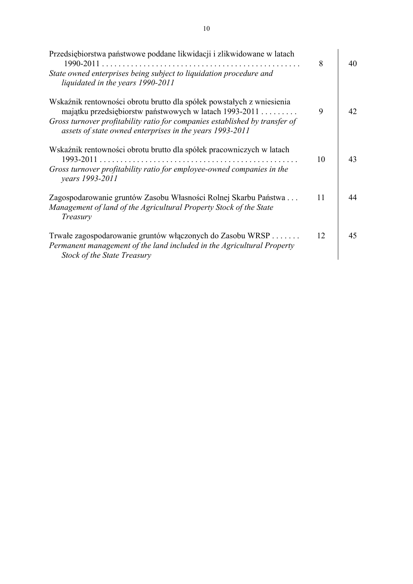| Przedsiębiorstwa państwowe poddane likwidacji i zlikwidowane w latach<br>$1990 - 2011$ .                                                                                  | 8  | 40 |
|---------------------------------------------------------------------------------------------------------------------------------------------------------------------------|----|----|
| State owned enterprises being subject to liquidation procedure and<br>liquidated in the years 1990-2011                                                                   |    |    |
| Wskaźnik rentowności obrotu brutto dla spółek powstałych z wniesienia<br>majątku przedsiębiorstw państwowych w latach 1993-2011                                           | 9  | 42 |
| Gross turnover profitability ratio for companies established by transfer of<br>assets of state owned enterprises in the years 1993-2011                                   |    |    |
| Wskaźnik rentowności obrotu brutto dla spółek pracowniczych w latach<br>1993-2011                                                                                         | 10 | 43 |
| Gross turnover profitability ratio for employee-owned companies in the<br>years 1993-2011                                                                                 |    |    |
| Zagospodarowanie gruntów Zasobu Własności Rolnej Skarbu Państwa<br>Management of land of the Agricultural Property Stock of the State<br>Treasury                         | 11 | 44 |
| Trwałe zagospodarowanie gruntów włączonych do Zasobu WRSP<br>Permanent management of the land included in the Agricultural Property<br><b>Stock of the State Treasury</b> | 12 | 45 |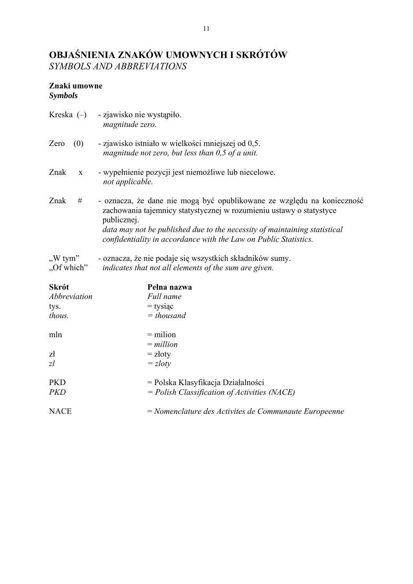# **OBJAŚNIENIA ZNAKÓW UMOWNYCH I SKRÓTÓW**  *SYMBOLS AND ABBREVIATIONS*

## **Znaki umowne**

*Symbols* 

| - oznacza, że dane nie mogą być opublikowane ze względu na konieczność<br>zachowania tajemnicy statystycznej w rozumieniu ustawy o statystyce<br>data may not be published due to the necessity of maintaining statistical |
|----------------------------------------------------------------------------------------------------------------------------------------------------------------------------------------------------------------------------|
|                                                                                                                                                                                                                            |
|                                                                                                                                                                                                                            |
|                                                                                                                                                                                                                            |
|                                                                                                                                                                                                                            |
|                                                                                                                                                                                                                            |
|                                                                                                                                                                                                                            |
|                                                                                                                                                                                                                            |
|                                                                                                                                                                                                                            |
|                                                                                                                                                                                                                            |
|                                                                                                                                                                                                                            |
|                                                                                                                                                                                                                            |
|                                                                                                                                                                                                                            |
|                                                                                                                                                                                                                            |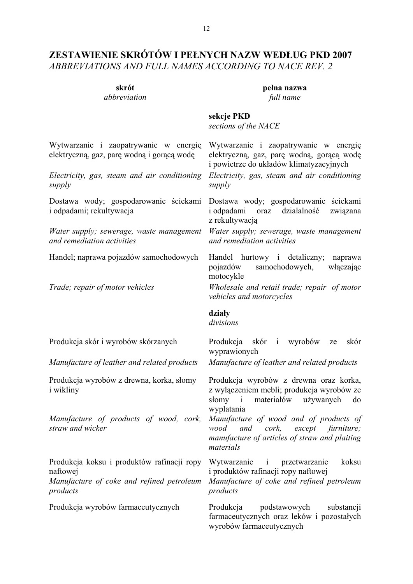## **ZESTAWIENIE SKRÓTÓW I PEŁNYCH NAZW WEDŁUG PKD 2007**  *ABBREVIATIONS AND FULL NAMES ACCORDING TO NACE REV. 2*

**skrót pełna nazwa**  *abbreviation full name* 

> Wytwarzanie i zaopatrywanie w energię elektryczną, gaz, parę wodną, gorącą wodę

#### **sekcje PKD**  *sections of the NACE*

Wytwarzanie i zaopatrywanie w energię elektryczną, gaz, parę wodną i gorącą wodę

*Electricity, gas, steam and air conditioning supply* 

Dostawa wody; gospodarowanie ściekami i odpadami; rekultywacja

*Water supply; sewerage, waste management and remediation activities* 

i powietrze do układów klimatyzacyjnych *Electricity, gas, steam and air conditioning* 

Dostawa wody; gospodarowanie ściekami i odpadami oraz działalność związana z rekultywacją

*Water supply; sewerage, waste management and remediation activities*

Handel; naprawa pojazdów samochodowych Handel hurtowy i detaliczny; naprawa pojazdów samochodowych, włączając motocykle

*Trade; repair of motor vehicles Wholesale and retail trade; repair of motor vehicles and motorcycles* 

#### **działy**

*supply* 

*divisions* 

*Manufacture of leather and related products Manufacture of leather and related products*

Produkcja wyrobów z drewna, korka, słomy i wikliny

*Manufacture of products of wood, cork, straw and wicker*

Produkcja koksu i produktów rafinacji ropy naftowej *Manufacture of coke and refined petroleum* 

*products*

Produkcja skór i wyrobów skórzanych Produkcja skór i wyrobów ze skór wyprawionych

Produkcja wyrobów z drewna oraz korka, z wyłączeniem mebli; produkcja wyrobów ze słomy i materiałów używanych do wyplatania

*Manufacture of wood and of products of wood and cork, except furniture; manufacture of articles of straw and plaiting materials*

Wytwarzanie i przetwarzanie koksu i produktów rafinacji ropy naftowej

*Manufacture of coke and refined petroleum products*

Produkcja wyrobów farmaceutycznych Produkcja podstawowych substancji farmaceutycznych oraz leków i pozostałych wyrobów farmaceutycznych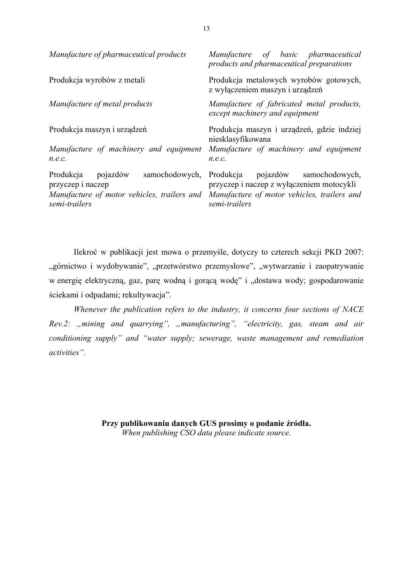| Manufacture of pharmaceutical products                                                                                       | of basic pharmaceutical<br>Manufacture<br>products and pharmaceutical preparations                                                                |
|------------------------------------------------------------------------------------------------------------------------------|---------------------------------------------------------------------------------------------------------------------------------------------------|
| Produkcja wyrobów z metali                                                                                                   | Produkcja metalowych wyrobów gotowych,<br>z wyłączeniem maszyn i urządzeń                                                                         |
| Manufacture of metal products                                                                                                | Manufacture of fabricated metal products,<br>except machinery and equipment                                                                       |
| Produkcja maszyn i urządzeń<br>Manufacture of machinery and equipment<br>n.e.c.                                              | Produkcja maszyn i urządzeń, gdzie indziej<br>niesklasyfikowana<br>Manufacture of machinery and equipment<br>n.e.c.                               |
| Produkcja<br>samochodowych,<br>pojazdów<br>przyczep i naczep<br>Manufacture of motor vehicles, trailers and<br>semi-trailers | Produkcja pojazdów<br>samochodowych,<br>przyczep i naczep z wyłączeniem motocykli<br>Manufacture of motor vehicles, trailers and<br>semi-trailers |

Ilekroć w publikacji jest mowa o przemyśle, dotyczy to czterech sekcji PKD 2007: "górnictwo i wydobywanie", "przetwórstwo przemysłowe", "wytwarzanie i zaopatrywanie w energię elektryczną, gaz, parę wodną i gorącą wodę" i "dostawa wody; gospodarowanie ściekami i odpadami; rekultywacja".

*Whenever the publication refers to the industry, it concerns four sections of NACE Rev.2: "mining and quarrying", "manufacturing", "electricity, gas, steam and air conditioning supply" and "water supply; sewerage, waste management and remediation activities".* 

> **Przy publikowaniu danych GUS prosimy o podanie źródła.**  *When publishing CSO data please indicate source.*

13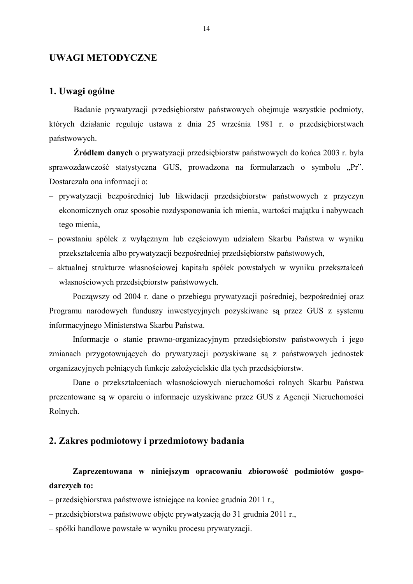#### **UWAGI METODYCZNE**

#### **1. Uwagi ogólne**

 Badanie prywatyzacji przedsiębiorstw państwowych obejmuje wszystkie podmioty, których działanie reguluje ustawa z dnia 25 września 1981 r. o przedsiębiorstwach państwowych.

**Źródłem danych** o prywatyzacji przedsiębiorstw państwowych do końca 2003 r. była sprawozdawczość statystyczna GUS, prowadzona na formularzach o symbolu "Pr". Dostarczała ona informacji o:

- prywatyzacji bezpośredniej lub likwidacji przedsiębiorstw państwowych z przyczyn ekonomicznych oraz sposobie rozdysponowania ich mienia, wartości majątku i nabywcach tego mienia,
- powstaniu spółek z wyłącznym lub częściowym udziałem Skarbu Państwa w wyniku przekształcenia albo prywatyzacji bezpośredniej przedsiębiorstw państwowych,
- aktualnej strukturze własnościowej kapitału spółek powstałych w wyniku przekształceń własnościowych przedsiębiorstw państwowych.

Począwszy od 2004 r. dane o przebiegu prywatyzacji pośredniej, bezpośredniej oraz Programu narodowych funduszy inwestycyjnych pozyskiwane są przez GUS z systemu informacyjnego Ministerstwa Skarbu Państwa.

Informacje o stanie prawno-organizacyjnym przedsiębiorstw państwowych i jego zmianach przygotowujących do prywatyzacji pozyskiwane są z państwowych jednostek organizacyjnych pełniących funkcje założycielskie dla tych przedsiębiorstw.

Dane o przekształceniach własnościowych nieruchomości rolnych Skarbu Państwa prezentowane są w oparciu o informacje uzyskiwane przez GUS z Agencji Nieruchomości Rolnych.

### **2. Zakres podmiotowy i przedmiotowy badania**

**Zaprezentowana w niniejszym opracowaniu zbiorowość podmiotów gospodarczych to:** 

– przedsiębiorstwa państwowe istniejące na koniec grudnia 2011 r.,

– przedsiębiorstwa państwowe objęte prywatyzacją do 31 grudnia 2011 r.,

– spółki handlowe powstałe w wyniku procesu prywatyzacji.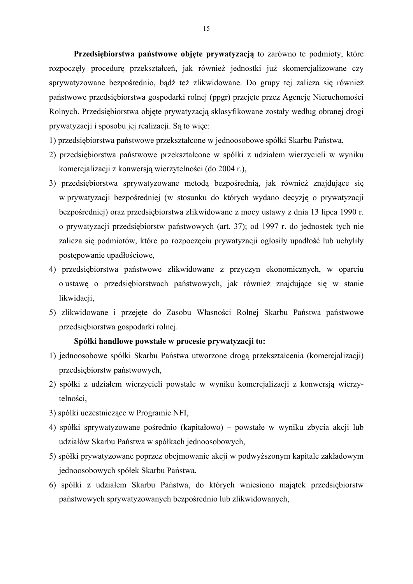**Przedsiębiorstwa państwowe objęte prywatyzacją** to zarówno te podmioty, które rozpoczęły procedurę przekształceń, jak również jednostki już skomercjalizowane czy sprywatyzowane bezpośrednio, bądź też zlikwidowane. Do grupy tej zalicza się również państwowe przedsiębiorstwa gospodarki rolnej (ppgr) przejęte przez Agencję Nieruchomości Rolnych. Przedsiębiorstwa objęte prywatyzacją sklasyfikowane zostały według obranej drogi prywatyzacji i sposobu jej realizacji. Są to więc:

1) przedsiębiorstwa państwowe przekształcone w jednoosobowe spółki Skarbu Państwa,

- 2) przedsiębiorstwa państwowe przekształcone w spółki z udziałem wierzycieli w wyniku komercjalizacji z konwersją wierzytelności (do 2004 r.),
- 3) przedsiębiorstwa sprywatyzowane metodą bezpośrednią, jak również znajdujące się w prywatyzacji bezpośredniej (w stosunku do których wydano decyzję o prywatyzacji bezpośredniej) oraz przedsiębiorstwa zlikwidowane z mocy ustawy z dnia 13 lipca 1990 r. o prywatyzacji przedsiębiorstw państwowych (art. 37); od 1997 r. do jednostek tych nie zalicza się podmiotów, które po rozpoczęciu prywatyzacji ogłosiły upadłość lub uchyliły postępowanie upadłościowe,
- 4) przedsiębiorstwa państwowe zlikwidowane z przyczyn ekonomicznych, w oparciu o ustawę o przedsiębiorstwach państwowych, jak również znajdujące się w stanie likwidacji,
- 5) zlikwidowane i przejęte do Zasobu Własności Rolnej Skarbu Państwa państwowe przedsiębiorstwa gospodarki rolnej.

#### **Spółki handlowe powstałe w procesie prywatyzacji to:**

- 1) jednoosobowe spółki Skarbu Państwa utworzone drogą przekształcenia (komercjalizacji) przedsiębiorstw państwowych,
- 2) spółki z udziałem wierzycieli powstałe w wyniku komercjalizacji z konwersją wierzytelności,
- 3) spółki uczestniczące w Programie NFI,
- 4) spółki sprywatyzowane pośrednio (kapitałowo) powstałe w wyniku zbycia akcji lub udziałów Skarbu Państwa w spółkach jednoosobowych,
- 5) spółki prywatyzowane poprzez obejmowanie akcji w podwyższonym kapitale zakładowym jednoosobowych spółek Skarbu Państwa,
- 6) spółki z udziałem Skarbu Państwa, do których wniesiono majątek przedsiębiorstw państwowych sprywatyzowanych bezpośrednio lub zlikwidowanych,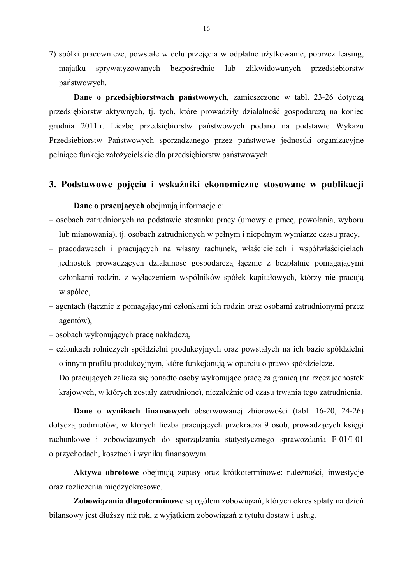7) spółki pracownicze, powstałe w celu przejęcia w odpłatne użytkowanie, poprzez leasing, majątku sprywatyzowanych bezpośrednio lub zlikwidowanych przedsiębiorstw państwowych.

 **Dane o przedsiębiorstwach państwowych**, zamieszczone w tabl. 23-26 dotyczą przedsiębiorstw aktywnych, tj. tych, które prowadziły działalność gospodarczą na koniec grudnia 2011 r. Liczbę przedsiębiorstw państwowych podano na podstawie Wykazu Przedsiębiorstw Państwowych sporządzanego przez państwowe jednostki organizacyjne pełniące funkcje założycielskie dla przedsiębiorstw państwowych.

#### **3. Podstawowe pojęcia i wskaźniki ekonomiczne stosowane w publikacji**

**Dane o pracujących** obejmują informacje o:

- osobach zatrudnionych na podstawie stosunku pracy (umowy o pracę, powołania, wyboru lub mianowania), tj. osobach zatrudnionych w pełnym i niepełnym wymiarze czasu pracy,
- pracodawcach i pracujących na własny rachunek, właścicielach i współwłaścicielach jednostek prowadzących działalność gospodarczą łącznie z bezpłatnie pomagającymi członkami rodzin, z wyłączeniem wspólników spółek kapitałowych, którzy nie pracują w spółce,
- agentach (łącznie z pomagającymi członkami ich rodzin oraz osobami zatrudnionymi przez agentów),
- osobach wykonujących pracę nakładczą,
- członkach rolniczych spółdzielni produkcyjnych oraz powstałych na ich bazie spółdzielni o innym profilu produkcyjnym, które funkcjonują w oparciu o prawo spółdzielcze.

 Do pracujących zalicza się ponadto osoby wykonujące pracę za granicą (na rzecz jednostek krajowych, w których zostały zatrudnione), niezależnie od czasu trwania tego zatrudnienia.

**Dane o wynikach finansowych** obserwowanej zbiorowości (tabl. 16-20, 24-26) dotyczą podmiotów, w których liczba pracujących przekracza 9 osób, prowadzących księgi rachunkowe i zobowiązanych do sporządzania statystycznego sprawozdania F-01/I-01 o przychodach, kosztach i wyniku finansowym.

**Aktywa obrotowe** obejmują zapasy oraz krótkoterminowe: należności, inwestycje oraz rozliczenia międzyokresowe.

**Zobowiązania długoterminowe** są ogółem zobowiązań, których okres spłaty na dzień bilansowy jest dłuższy niż rok, z wyjątkiem zobowiązań z tytułu dostaw i usług.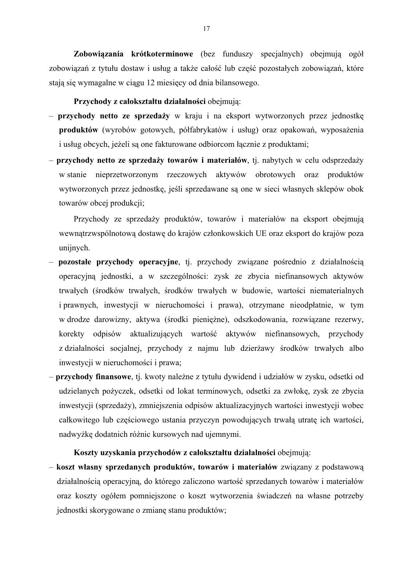**Zobowiązania krótkoterminowe** (bez funduszy specjalnych) obejmują ogół zobowiązań z tytułu dostaw i usług a także całość lub część pozostałych zobowiązań, które stają się wymagalne w ciągu 12 miesięcy od dnia bilansowego.

#### **Przychody z całokształtu działalności** obejmują:

- **przychody netto ze sprzedaży** w kraju i na eksport wytworzonych przez jednostkę **produktów** (wyrobów gotowych, półfabrykatów i usług) oraz opakowań, wyposażenia i usług obcych, jeżeli są one fakturowane odbiorcom łącznie z produktami;
- **przychody netto ze sprzedaży towarów i materiałów**, tj. nabytych w celu odsprzedaży w stanie nieprzetworzonym rzeczowych aktywów obrotowych oraz produktów wytworzonych przez jednostkę, jeśli sprzedawane są one w sieci własnych sklepów obok towarów obcej produkcji;

Przychody ze sprzedaży produktów, towarów i materiałów na eksport obejmują wewnątrzwspólnotową dostawę do krajów członkowskich UE oraz eksport do krajów poza unijnych.

- **pozostałe przychody operacyjne**, tj. przychody związane pośrednio z działalnością operacyjną jednostki, a w szczególności: zysk ze zbycia niefinansowych aktywów trwałych (środków trwałych, środków trwałych w budowie, wartości niematerialnych i prawnych, inwestycji w nieruchomości i prawa), otrzymane nieodpłatnie, w tym w drodze darowizny, aktywa (środki pieniężne), odszkodowania, rozwiązane rezerwy, korekty odpisów aktualizujących wartość aktywów niefinansowych, przychody z działalności socjalnej, przychody z najmu lub dzierżawy środków trwałych albo inwestycji w nieruchomości i prawa;
- **przychody finansowe**, tj. kwoty należne z tytułu dywidend i udziałów w zysku, odsetki od udzielanych pożyczek, odsetki od lokat terminowych, odsetki za zwłokę, zysk ze zbycia inwestycji (sprzedaży), zmniejszenia odpisów aktualizacyjnych wartości inwestycji wobec całkowitego lub częściowego ustania przyczyn powodujących trwałą utratę ich wartości, nadwyżkę dodatnich różnic kursowych nad ujemnymi.

#### **Koszty uzyskania przychodów z całokształtu działalności** obejmują:

– **koszt własny sprzedanych produktów, towarów i materiałów** związany z podstawową działalnością operacyjną, do którego zaliczono wartość sprzedanych towarów i materiałów oraz koszty ogółem pomniejszone o koszt wytworzenia świadczeń na własne potrzeby jednostki skorygowane o zmianę stanu produktów;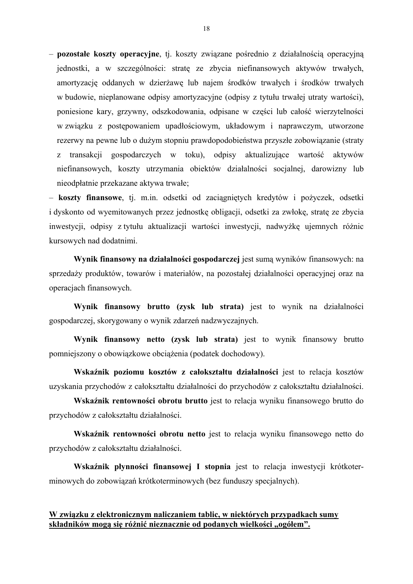– **pozostałe koszty operacyjne**, tj. koszty związane pośrednio z działalnością operacyjną jednostki, a w szczególności: stratę ze zbycia niefinansowych aktywów trwałych, amortyzację oddanych w dzierżawę lub najem środków trwałych i środków trwałych w budowie, nieplanowane odpisy amortyzacyjne (odpisy z tytułu trwałej utraty wartości), poniesione kary, grzywny, odszkodowania, odpisane w części lub całość wierzytelności w związku z postępowaniem upadłościowym, układowym i naprawczym, utworzone rezerwy na pewne lub o dużym stopniu prawdopodobieństwa przyszłe zobowiązanie (straty z transakcji gospodarczych w toku), odpisy aktualizujące wartość aktywów niefinansowych, koszty utrzymania obiektów działalności socjalnej, darowizny lub nieodpłatnie przekazane aktywa trwałe;

– **koszty finansowe**, tj. m.in. odsetki od zaciągniętych kredytów i pożyczek, odsetki i dyskonto od wyemitowanych przez jednostkę obligacji, odsetki za zwłokę, stratę ze zbycia inwestycji, odpisy z tytułu aktualizacji wartości inwestycji, nadwyżkę ujemnych różnic kursowych nad dodatnimi.

**Wynik finansowy na działalności gospodarczej** jest sumą wyników finansowych: na sprzedaży produktów, towarów i materiałów, na pozostałej działalności operacyjnej oraz na operacjach finansowych.

**Wynik finansowy brutto (zysk lub strata)** jest to wynik na działalności gospodarczej, skorygowany o wynik zdarzeń nadzwyczajnych.

**Wynik finansowy netto (zysk lub strata)** jest to wynik finansowy brutto pomniejszony o obowiązkowe obciążenia (podatek dochodowy).

**Wskaźnik poziomu kosztów z całokształtu działalności** jest to relacja kosztów uzyskania przychodów z całokształtu działalności do przychodów z całokształtu działalności.

**Wskaźnik rentowności obrotu brutto** jest to relacja wyniku finansowego brutto do przychodów z całokształtu działalności.

**Wskaźnik rentowności obrotu netto** jest to relacja wyniku finansowego netto do przychodów z całokształtu działalności.

**Wskaźnik płynności finansowej I stopnia** jest to relacja inwestycji krótkoterminowych do zobowiązań krótkoterminowych (bez funduszy specjalnych).

#### **W związku z elektronicznym naliczaniem tablic, w niektórych przypadkach sumy składników mogą się różnić nieznacznie od podanych wielkości "ogółem".**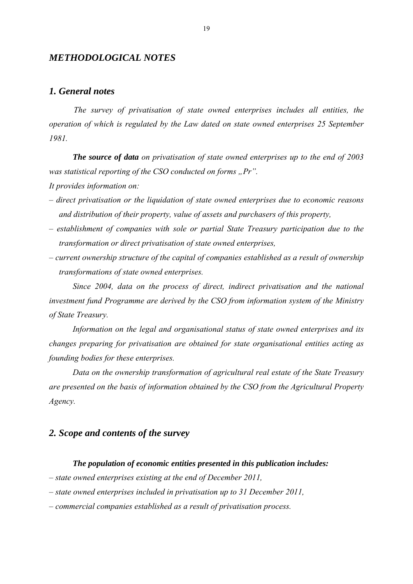#### *METHODOLOGICAL NOTES*

#### *1. General notes*

 *The survey of privatisation of state owned enterprises includes all entities, the operation of which is regulated by the Law dated on state owned enterprises 25 September 1981.* 

*The source of data on privatisation of state owned enterprises up to the end of 2003 was statistical reporting of the CSO conducted on forms ..Pr". It provides information on:* 

- *direct privatisation or the liquidation of state owned enterprises due to economic reasons and distribution of their property, value of assets and purchasers of this property,*
- *establishment of companies with sole or partial State Treasury participation due to the transformation or direct privatisation of state owned enterprises,*
- *current ownership structure of the capital of companies established as a result of ownership transformations of state owned enterprises.*

*Since 2004, data on the process of direct, indirect privatisation and the national investment fund Programme are derived by the CSO from information system of the Ministry of State Treasury.* 

*Information on the legal and organisational status of state owned enterprises and its changes preparing for privatisation are obtained for state organisational entities acting as founding bodies for these enterprises.* 

*Data on the ownership transformation of agricultural real estate of the State Treasury are presented on the basis of information obtained by the CSO from the Agricultural Property Agency.* 

#### *2. Scope and contents of the survey*

#### *The population of economic entities presented in this publication includes:*

- *state owned enterprises existing at the end of December 2011,*
- *state owned enterprises included in privatisation up to 31 December 2011,*
- *commercial companies established as a result of privatisation process.*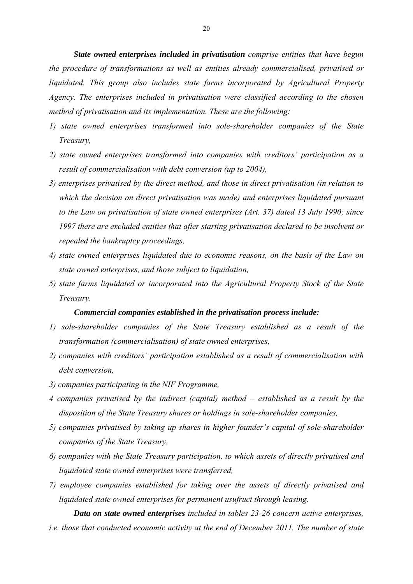*State owned enterprises included in privatisation comprise entities that have begun the procedure of transformations as well as entities already commercialised, privatised or liquidated. This group also includes state farms incorporated by Agricultural Property Agency. The enterprises included in privatisation were classified according to the chosen method of privatisation and its implementation. These are the following:* 

- *1) state owned enterprises transformed into sole-shareholder companies of the State Treasury,*
- *2) state owned enterprises transformed into companies with creditors' participation as a result of commercialisation with debt conversion (up to 2004),*
- *3) enterprises privatised by the direct method, and those in direct privatisation (in relation to which the decision on direct privatisation was made) and enterprises liquidated pursuant to the Law on privatisation of state owned enterprises (Art. 37) dated 13 July 1990; since 1997 there are excluded entities that after starting privatisation declared to be insolvent or repealed the bankruptcy proceedings,*
- *4) state owned enterprises liquidated due to economic reasons, on the basis of the Law on state owned enterprises, and those subject to liquidation,*
- *5) state farms liquidated or incorporated into the Agricultural Property Stock of the State Treasury.*

#### *Commercial companies established in the privatisation process include:*

- *1) sole-shareholder companies of the State Treasury established as a result of the transformation (commercialisation) of state owned enterprises,*
- *2) companies with creditors' participation established as a result of commercialisation with debt conversion,*
- *3) companies participating in the NIF Programme,*
- *4 companies privatised by the indirect (capital) method established as a result by the disposition of the State Treasury shares or holdings in sole-shareholder companies,*
- *5) companies privatised by taking up shares in higher founder's capital of sole-shareholder companies of the State Treasury,*
- *6) companies with the State Treasury participation, to which assets of directly privatised and liquidated state owned enterprises were transferred,*
- *7) employee companies established for taking over the assets of directly privatised and liquidated state owned enterprises for permanent usufruct through leasing.*

 *Data on state owned enterprises included in tables 23-26 concern active enterprises, i.e. those that conducted economic activity at the end of December 2011. The number of state*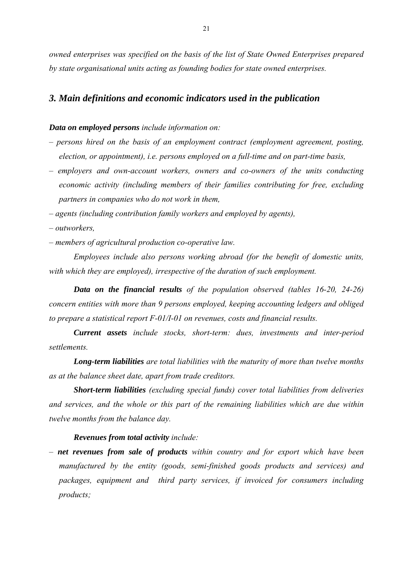*owned enterprises was specified on the basis of the list of State Owned Enterprises prepared by state organisational units acting as founding bodies for state owned enterprises.* 

#### *3. Main definitions and economic indicators used in the publication*

#### *Data on employed persons include information on:*

- *persons hired on the basis of an employment contract (employment agreement, posting, election, or appointment), i.e. persons employed on a full-time and on part-time basis,*
- *employers and own-account workers, owners and co-owners of the units conducting economic activity (including members of their families contributing for free, excluding partners in companies who do not work in them,*
- *agents (including contribution family workers and employed by agents),*
- *outworkers,*
- *members of agricultural production co-operative law.*

 *Employees include also persons working abroad (for the benefit of domestic units, with which they are employed), irrespective of the duration of such employment.* 

*Data on the financial results of the population observed (tables 16-20, 24-26) concern entities with more than 9 persons employed, keeping accounting ledgers and obliged to prepare a statistical report F-01/I-01 on revenues, costs and financial results.* 

*Current assets include stocks, short-term: dues, investments and inter-period settlements.* 

*Long-term liabilities are total liabilities with the maturity of more than twelve months as at the balance sheet date, apart from trade creditors.* 

*Short-term liabilities (excluding special funds) cover total liabilities from deliveries and services, and the whole or this part of the remaining liabilities which are due within twelve months from the balance day.* 

#### *Revenues from total activity include:*

*– net revenues from sale of products within country and for export which have been manufactured by the entity (goods, semi-finished goods products and services) and packages, equipment and third party services, if invoiced for consumers including products;*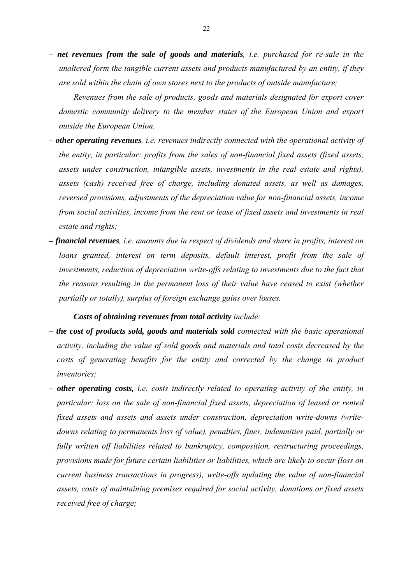*– net revenues from the sale of goods and materials, i.e. purchased for re-sale in the unaltered form the tangible current assets and products manufactured by an entity, if they are sold within the chain of own stores next to the products of outside manufacture;*

*Revenues from the sale of products, goods and materials designated for export cover domestic community delivery to the member states of the European Union and export outside the European Union.* 

- *other operating revenues, i.e. revenues indirectly connected with the operational activity of the entity, in particular: profits from the sales of non-financial fixed assets (fixed assets, assets under construction, intangible assets, investments in the real estate and rights), assets (cash) received free of charge, including donated assets, as well as damages, reversed provisions, adjustments of the depreciation value for non-financial assets, income from social activities, income from the rent or lease of fixed assets and investments in real estate and rights;*
- *financial revenues, i.e. amounts due in respect of dividends and share in profits, interest on loans granted, interest on term deposits, default interest, profit from the sale of investments, reduction of depreciation write-offs relating to investments due to the fact that the reasons resulting in the permanent loss of their value have ceased to exist (whether partially or totally), surplus of foreign exchange gains over losses.*

#### *Costs of obtaining revenues from total activity include:*

- *the cost of products sold, goods and materials sold connected with the basic operational activity, including the value of sold goods and materials and total costs decreased by the costs of generating benefits for the entity and corrected by the change in product inventories;*
- *other operating costs, i.e. costs indirectly related to operating activity of the entity, in particular: loss on the sale of non-financial fixed assets, depreciation of leased or rented fixed assets and assets and assets under construction, depreciation write-downs (writedowns relating to permanents loss of value), penalties, fines, indemnities paid, partially or fully written off liabilities related to bankruptcy, composition, restructuring proceedings, provisions made for future certain liabilities or liabilities, which are likely to occur (loss on current business transactions in progress), write-offs updating the value of non-financial assets, costs of maintaining premises required for social activity, donations or fixed assets received free of charge;*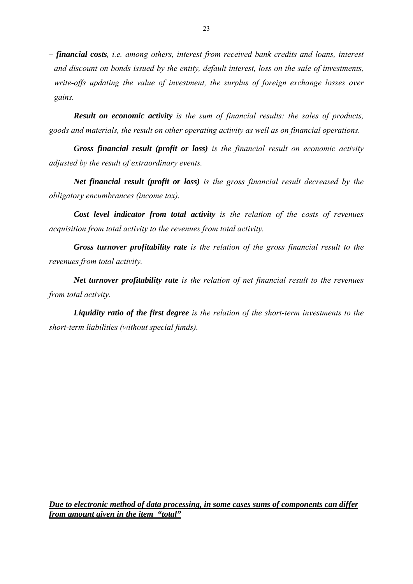*– financial costs, i.e. among others, interest from received bank credits and loans, interest and discount on bonds issued by the entity, default interest, loss on the sale of investments, write-offs updating the value of investment, the surplus of foreign exchange losses over gains.* 

*Result on economic activity is the sum of financial results: the sales of products, goods and materials, the result on other operating activity as well as on financial operations.* 

*Gross financial result (profit or loss) is the financial result on economic activity adjusted by the result of extraordinary events.* 

*Net financial result (profit or loss) is the gross financial result decreased by the obligatory encumbrances (income tax).* 

*Cost level indicator from total activity is the relation of the costs of revenues acquisition from total activity to the revenues from total activity.* 

 *Gross turnover profitability rate is the relation of the gross financial result to the revenues from total activity.* 

*Net turnover profitability rate is the relation of net financial result to the revenues from total activity.* 

*Liquidity ratio of the first degree is the relation of the short-term investments to the short-term liabilities (without special funds).* 

*Due to electronic method of data processing, in some cases sums of components can differ from amount given in the item "total"*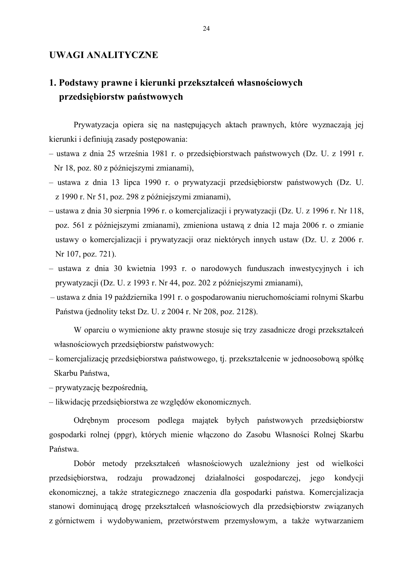#### **UWAGI ANALITYCZNE**

# **1. Podstawy prawne i kierunki przekształceń własnościowych przedsiębiorstw państwowych**

Prywatyzacja opiera się na następujących aktach prawnych, które wyznaczają jej kierunki i definiują zasady postępowania:

- ustawa z dnia 25 września 1981 r. o przedsiębiorstwach państwowych (Dz. U. z 1991 r. Nr 18, poz. 80 z późniejszymi zmianami),
- ustawa z dnia 13 lipca 1990 r. o prywatyzacji przedsiębiorstw państwowych (Dz. U. z 1990 r. Nr 51, poz. 298 z późniejszymi zmianami),
- ustawa z dnia 30 sierpnia 1996 r. o komercjalizacji i prywatyzacji (Dz. U. z 1996 r. Nr 118, poz. 561 z późniejszymi zmianami), zmieniona ustawą z dnia 12 maja 2006 r. o zmianie ustawy o komercjalizacji i prywatyzacji oraz niektórych innych ustaw (Dz. U. z 2006 r. Nr 107, poz. 721).
- ustawa z dnia 30 kwietnia 1993 r. o narodowych funduszach inwestycyjnych i ich prywatyzacji (Dz. U. z 1993 r. Nr 44, poz. 202 z późniejszymi zmianami),
- ustawa z dnia 19 października 1991 r. o gospodarowaniu nieruchomościami rolnymi Skarbu Państwa (jednolity tekst Dz. U. z 2004 r. Nr 208, poz. 2128).

 W oparciu o wymienione akty prawne stosuje się trzy zasadnicze drogi przekształceń własnościowych przedsiębiorstw państwowych:

- komercjalizację przedsiębiorstwa państwowego, tj. przekształcenie w jednoosobową spółkę Skarbu Państwa,
- prywatyzację bezpośrednią,
- likwidację przedsiębiorstwa ze względów ekonomicznych.

 Odrębnym procesom podlega majątek byłych państwowych przedsiębiorstw gospodarki rolnej (ppgr), których mienie włączono do Zasobu Własności Rolnej Skarbu Państwa.

 Dobór metody przekształceń własnościowych uzależniony jest od wielkości przedsiębiorstwa, rodzaju prowadzonej działalności gospodarczej, jego kondycji ekonomicznej, a także strategicznego znaczenia dla gospodarki państwa. Komercjalizacja stanowi dominującą drogę przekształceń własnościowych dla przedsiębiorstw związanych z górnictwem i wydobywaniem, przetwórstwem przemysłowym, a także wytwarzaniem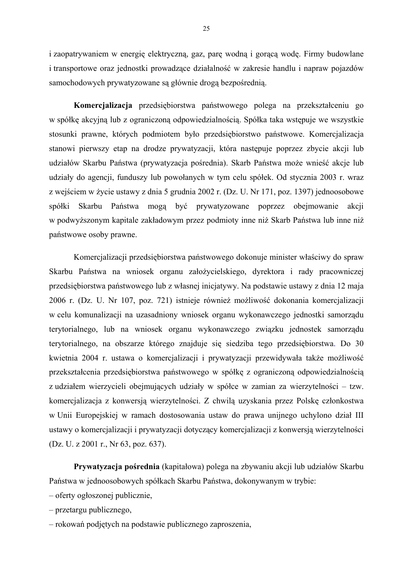i zaopatrywaniem w energię elektryczną, gaz, parę wodną i gorącą wodę. Firmy budowlane i transportowe oraz jednostki prowadzące działalność w zakresie handlu i napraw pojazdów samochodowych prywatyzowane są głównie drogą bezpośrednią.

**Komercjalizacja** przedsiębiorstwa państwowego polega na przekształceniu go w spółkę akcyjną lub z ograniczoną odpowiedzialnością. Spółka taka wstępuje we wszystkie stosunki prawne, których podmiotem było przedsiębiorstwo państwowe. Komercjalizacja stanowi pierwszy etap na drodze prywatyzacji, która następuje poprzez zbycie akcji lub udziałów Skarbu Państwa (prywatyzacja pośrednia). Skarb Państwa może wnieść akcje lub udziały do agencji, funduszy lub powołanych w tym celu spółek. Od stycznia 2003 r. wraz z wejściem w życie ustawy z dnia 5 grudnia 2002 r. (Dz. U. Nr 171, poz. 1397) jednoosobowe spółki Skarbu Państwa mogą być prywatyzowane poprzez obejmowanie akcji w podwyższonym kapitale zakładowym przez podmioty inne niż Skarb Państwa lub inne niż państwowe osoby prawne.

Komercjalizacji przedsiębiorstwa państwowego dokonuje minister właściwy do spraw Skarbu Państwa na wniosek organu założycielskiego, dyrektora i rady pracowniczej przedsiębiorstwa państwowego lub z własnej inicjatywy. Na podstawie ustawy z dnia 12 maja 2006 r. (Dz. U. Nr 107, poz. 721) istnieje również możliwość dokonania komercjalizacji w celu komunalizacji na uzasadniony wniosek organu wykonawczego jednostki samorządu terytorialnego, lub na wniosek organu wykonawczego związku jednostek samorządu terytorialnego, na obszarze którego znajduje się siedziba tego przedsiębiorstwa. Do 30 kwietnia 2004 r. ustawa o komercjalizacji i prywatyzacji przewidywała także możliwość przekształcenia przedsiębiorstwa państwowego w spółkę z ograniczoną odpowiedzialnością z udziałem wierzycieli obejmujących udziały w spółce w zamian za wierzytelności – tzw. komercjalizacja z konwersją wierzytelności. Z chwilą uzyskania przez Polskę członkostwa w Unii Europejskiej w ramach dostosowania ustaw do prawa unijnego uchylono dział III ustawy o komercjalizacji i prywatyzacji dotyczący komercjalizacji z konwersją wierzytelności (Dz. U. z 2001 r., Nr 63, poz. 637).

 **Prywatyzacja pośrednia** (kapitałowa) polega na zbywaniu akcji lub udziałów Skarbu Państwa w jednoosobowych spółkach Skarbu Państwa, dokonywanym w trybie:

- oferty ogłoszonej publicznie,
- przetargu publicznego,
- rokowań podjętych na podstawie publicznego zaproszenia,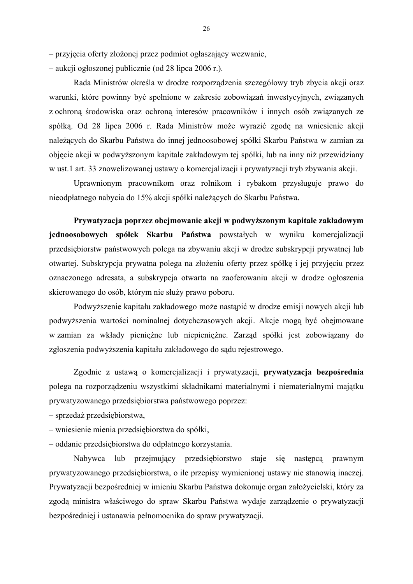– przyjęcia oferty złożonej przez podmiot ogłaszający wezwanie,

– aukcji ogłoszonej publicznie (od 28 lipca 2006 r.).

 Rada Ministrów określa w drodze rozporządzenia szczegółowy tryb zbycia akcji oraz warunki, które powinny być spełnione w zakresie zobowiązań inwestycyjnych, związanych z ochroną środowiska oraz ochroną interesów pracowników i innych osób związanych ze spółką. Od 28 lipca 2006 r. Rada Ministrów może wyrazić zgodę na wniesienie akcji należących do Skarbu Państwa do innej jednoosobowej spółki Skarbu Państwa w zamian za objęcie akcji w podwyższonym kapitale zakładowym tej spółki, lub na inny niż przewidziany w ust.1 art. 33 znowelizowanej ustawy o komercjalizacji i prywatyzacji tryb zbywania akcji.

 Uprawnionym pracownikom oraz rolnikom i rybakom przysługuje prawo do nieodpłatnego nabycia do 15% akcji spółki należących do Skarbu Państwa.

**Prywatyzacja poprzez obejmowanie akcji w podwyższonym kapitale zakładowym jednoosobowych spółek Skarbu Państwa** powstałych w wyniku komercjalizacji przedsiębiorstw państwowych polega na zbywaniu akcji w drodze subskrypcji prywatnej lub otwartej. Subskrypcja prywatna polega na złożeniu oferty przez spółkę i jej przyjęciu przez oznaczonego adresata, a subskrypcja otwarta na zaoferowaniu akcji w drodze ogłoszenia skierowanego do osób, którym nie służy prawo poboru.

 Podwyższenie kapitału zakładowego może nastąpić w drodze emisji nowych akcji lub podwyższenia wartości nominalnej dotychczasowych akcji. Akcje mogą być obejmowane w zamian za wkłady pieniężne lub niepieniężne. Zarząd spółki jest zobowiązany do zgłoszenia podwyższenia kapitału zakładowego do sądu rejestrowego.

 Zgodnie z ustawą o komercjalizacji i prywatyzacji, **prywatyzacja bezpośrednia**  polega na rozporządzeniu wszystkimi składnikami materialnymi i niematerialnymi majątku prywatyzowanego przedsiębiorstwa państwowego poprzez:

– sprzedaż przedsiębiorstwa,

– wniesienie mienia przedsiębiorstwa do spółki,

– oddanie przedsiębiorstwa do odpłatnego korzystania.

Nabywca lub przejmujący przedsiębiorstwo staje się następcą prawnym prywatyzowanego przedsiębiorstwa, o ile przepisy wymienionej ustawy nie stanowią inaczej. Prywatyzacji bezpośredniej w imieniu Skarbu Państwa dokonuje organ założycielski, który za zgodą ministra właściwego do spraw Skarbu Państwa wydaje zarządzenie o prywatyzacji bezpośredniej i ustanawia pełnomocnika do spraw prywatyzacji.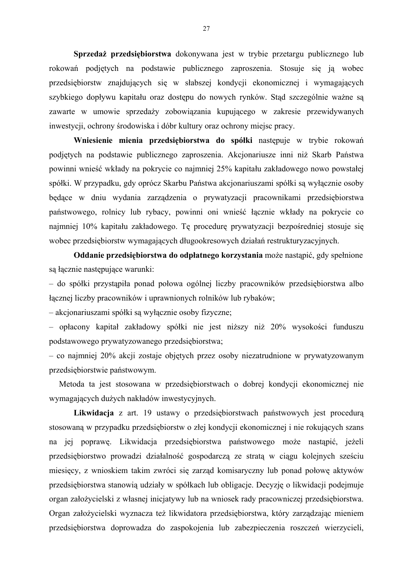**Sprzedaż przedsiębiorstwa** dokonywana jest w trybie przetargu publicznego lub rokowań podjętych na podstawie publicznego zaproszenia. Stosuje się ją wobec przedsiębiorstw znajdujących się w słabszej kondycji ekonomicznej i wymagających szybkiego dopływu kapitału oraz dostępu do nowych rynków. Stąd szczególnie ważne są zawarte w umowie sprzedaży zobowiązania kupującego w zakresie przewidywanych inwestycji, ochrony środowiska i dóbr kultury oraz ochrony miejsc pracy.

**Wniesienie mienia przedsiębiorstwa do spółki** następuje w trybie rokowań podjętych na podstawie publicznego zaproszenia. Akcjonariusze inni niż Skarb Państwa powinni wnieść wkłady na pokrycie co najmniej 25% kapitału zakładowego nowo powstałej spółki. W przypadku, gdy oprócz Skarbu Państwa akcjonariuszami spółki są wyłącznie osoby będące w dniu wydania zarządzenia o prywatyzacji pracownikami przedsiębiorstwa państwowego, rolnicy lub rybacy, powinni oni wnieść łącznie wkłady na pokrycie co najmniej 10% kapitału zakładowego. Tę procedurę prywatyzacji bezpośredniej stosuje się wobec przedsiębiorstw wymagających długookresowych działań restrukturyzacyjnych.

**Oddanie przedsiębiorstwa do odpłatnego korzystania** może nastąpić, gdy spełnione są łącznie następujące warunki:

– do spółki przystąpiła ponad połowa ogólnej liczby pracowników przedsiębiorstwa albo łącznej liczby pracowników i uprawnionych rolników lub rybaków;

– akcjonariuszami spółki są wyłącznie osoby fizyczne;

– opłacony kapitał zakładowy spółki nie jest niższy niż 20% wysokości funduszu podstawowego prywatyzowanego przedsiębiorstwa;

– co najmniej 20% akcji zostaje objętych przez osoby niezatrudnione w prywatyzowanym przedsiębiorstwie państwowym.

Metoda ta jest stosowana w przedsiębiorstwach o dobrej kondycji ekonomicznej nie wymagających dużych nakładów inwestycyjnych.

**Likwidacja** z art. 19 ustawy o przedsiębiorstwach państwowych jest procedurą stosowaną w przypadku przedsiębiorstw o złej kondycji ekonomicznej i nie rokujących szans na jej poprawę. Likwidacja przedsiębiorstwa państwowego może nastąpić, jeżeli przedsiębiorstwo prowadzi działalność gospodarczą ze stratą w ciągu kolejnych sześciu miesięcy, z wnioskiem takim zwróci się zarząd komisaryczny lub ponad połowę aktywów przedsiębiorstwa stanowią udziały w spółkach lub obligacje. Decyzję o likwidacji podejmuje organ założycielski z własnej inicjatywy lub na wniosek rady pracowniczej przedsiębiorstwa. Organ założycielski wyznacza też likwidatora przedsiębiorstwa, który zarządzając mieniem przedsiębiorstwa doprowadza do zaspokojenia lub zabezpieczenia roszczeń wierzycieli,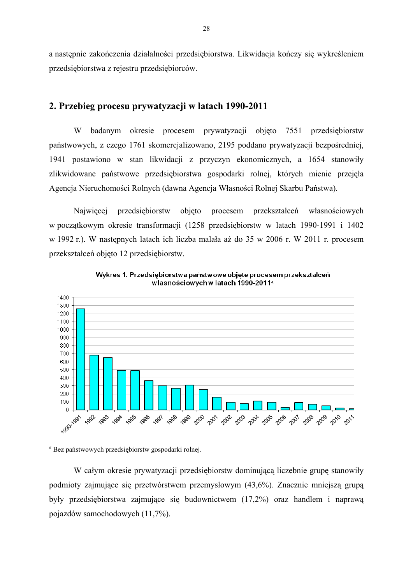a następnie zakończenia działalności przedsiębiorstwa. Likwidacja kończy się wykreśleniem przedsiębiorstwa z rejestru przedsiębiorców.

#### **2. Przebieg procesu prywatyzacji w latach 1990-2011**

W badanym okresie procesem prywatyzacji objęto 7551 przedsiębiorstw państwowych, z czego 1761 skomercjalizowano, 2195 poddano prywatyzacji bezpośredniej, 1941 postawiono w stan likwidacji z przyczyn ekonomicznych, a 1654 stanowiły zlikwidowane państwowe przedsiębiorstwa gospodarki rolnej, których mienie przejęła Agencja Nieruchomości Rolnych (dawna Agencja Własności Rolnej Skarbu Państwa).

 Najwięcej przedsiębiorstw objęto procesem przekształceń własnościowych w początkowym okresie transformacji (1258 przedsiębiorstw w latach 1990-1991 i 1402 w 1992 r.). W następnych latach ich liczba malała aż do 35 w 2006 r. W 2011 r. procesem przekształceń objęto 12 przedsiębiorstw.



Wykres 1. Przedsiebiorstwa państwowe obiete procesem przekształceń własnościowych w latach 1990-2011<sup>a</sup>

*<sup>a</sup>* Bez państwowych przedsiębiorstw gospodarki rolnej.

 W całym okresie prywatyzacji przedsiębiorstw dominującą liczebnie grupę stanowiły podmioty zajmujące się przetwórstwem przemysłowym (43,6%). Znacznie mniejszą grupą były przedsiębiorstwa zajmujące się budownictwem (17,2%) oraz handlem i naprawą pojazdów samochodowych (11,7%).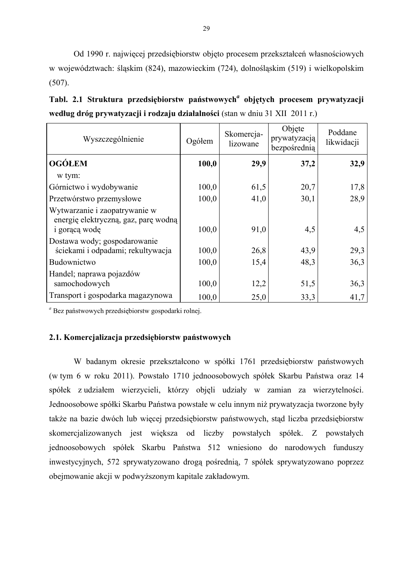Od 1990 r. najwięcej przedsiębiorstw objęto procesem przekształceń własnościowych w województwach: śląskim (824), mazowieckim (724), dolnośląskim (519) i wielkopolskim (507).

**Tabl. 2.1 Struktura przedsiębiorstw państwowych***<sup>a</sup>*  **objętych procesem prywatyzacji według dróg prywatyzacji i rodzaju działalności** (stan w dniu 31 XII 2011 r.)

| Wyszczególnienie                                                                              | Ogółem | Skomercja-<br>lizowane | Objęte<br>prywatyzacją<br>bezpośrednią | Poddane<br>likwidacji |
|-----------------------------------------------------------------------------------------------|--------|------------------------|----------------------------------------|-----------------------|
| <b>OGÓLEM</b>                                                                                 | 100,0  | 29,9                   | 37,2                                   | 32,9                  |
| w tym:                                                                                        |        |                        |                                        |                       |
| Górnictwo i wydobywanie                                                                       | 100,0  | 61,5                   | 20,7                                   | 17,8                  |
| Przetwórstwo przemysłowe                                                                      | 100,0  | 41,0                   | 30,1                                   | 28,9                  |
| Wytwarzanie i zaopatrywanie w<br>energię elektryczną, gaz, parę wodną<br><i>i</i> goraca wodę | 100,0  | 91,0                   | 4,5                                    | 4,5                   |
| Dostawa wody; gospodarowanie<br>ściekami i odpadami; rekultywacja                             | 100,0  | 26,8                   | 43,9                                   | 29,3                  |
| Budownictwo                                                                                   | 100,0  | 15,4                   | 48,3                                   | 36,3                  |
| Handel; naprawa pojazdów<br>samochodowych                                                     | 100,0  | 12,2                   | 51,5                                   | 36,3                  |
| Transport i gospodarka magazynowa                                                             | 100,0  | 25,0                   | 33,3                                   | 41,7                  |

*<sup>a</sup>* Bez państwowych przedsiębiorstw gospodarki rolnej.

#### **2.1. Komercjalizacja przedsiębiorstw państwowych**

 W badanym okresie przekształcono w spółki 1761 przedsiębiorstw państwowych (w tym 6 w roku 2011). Powstało 1710 jednoosobowych spółek Skarbu Państwa oraz 14 spółek z udziałem wierzycieli, którzy objęli udziały w zamian za wierzytelności. Jednoosobowe spółki Skarbu Państwa powstałe w celu innym niż prywatyzacja tworzone były także na bazie dwóch lub więcej przedsiębiorstw państwowych, stąd liczba przedsiębiorstw skomercjalizowanych jest większa od liczby powstałych spółek. Z powstałych jednoosobowych spółek Skarbu Państwa 512 wniesiono do narodowych funduszy inwestycyjnych, 572 sprywatyzowano drogą pośrednią, 7 spółek sprywatyzowano poprzez obejmowanie akcji w podwyższonym kapitale zakładowym.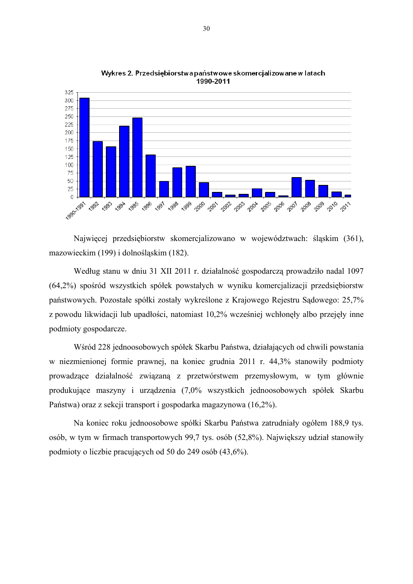

Wykres 2. Przedsiębiorstwa państwowe skomercjalizowane w latach 1990-2011

Najwięcej przedsiębiorstw skomercjalizowano w województwach: śląskim (361), mazowieckim (199) i dolnośląskim (182).

Według stanu w dniu 31 XII 2011 r. działalność gospodarczą prowadziło nadal 1097 (64,2%) spośród wszystkich spółek powstałych w wyniku komercjalizacji przedsiębiorstw państwowych. Pozostałe spółki zostały wykreślone z Krajowego Rejestru Sądowego: 25,7% z powodu likwidacji lub upadłości, natomiast 10,2% wcześniej wchłonęły albo przejęły inne podmioty gospodarcze.

 Wśród 228 jednoosobowych spółek Skarbu Państwa, działających od chwili powstania w niezmienionej formie prawnej, na koniec grudnia 2011 r. 44,3% stanowiły podmioty prowadzące działalność związaną z przetwórstwem przemysłowym, w tym głównie produkujące maszyny i urządzenia (7,0% wszystkich jednoosobowych spółek Skarbu Państwa) oraz z sekcji transport i gospodarka magazynowa (16,2%).

Na koniec roku jednoosobowe spółki Skarbu Państwa zatrudniały ogółem 188,9 tys. osób, w tym w firmach transportowych 99,7 tys. osób (52,8%). Największy udział stanowiły podmioty o liczbie pracujących od 50 do 249 osób (43,6%).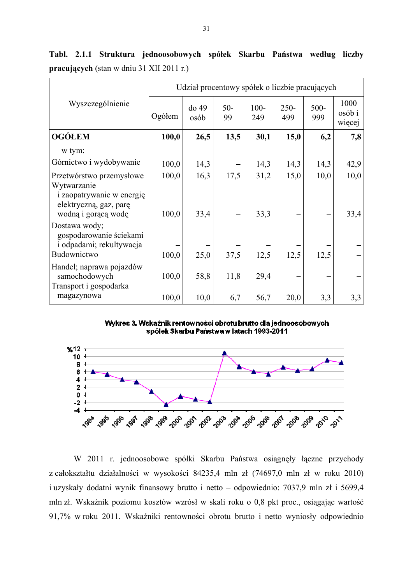|                                                                             | Udział procentowy spółek o liczbie pracujących |               |             |                |                |                |                          |
|-----------------------------------------------------------------------------|------------------------------------------------|---------------|-------------|----------------|----------------|----------------|--------------------------|
| Wyszczególnienie                                                            | Ogółem                                         | do 49<br>osób | $50-$<br>99 | $100 -$<br>249 | $250 -$<br>499 | $500 -$<br>999 | 1000<br>osób i<br>więcej |
| <b>OGÓŁEM</b>                                                               | 100,0                                          | 26,5          | 13,5        | 30,1           | 15,0           | 6,2            | 7,8                      |
| w tym:                                                                      |                                                |               |             |                |                |                |                          |
| Górnictwo i wydobywanie                                                     | 100,0                                          | 14,3          |             | 14,3           | 14,3           | 14,3           | 42,9                     |
| Przetwórstwo przemysłowe<br>Wytwarzanie<br><i>i</i> zaopatrywanie w energię | 100,0                                          | 16,3          | 17,5        | 31,2           | 15,0           | 10,0           | 10,0                     |
| elektryczną, gaz, parę<br>wodną i gorącą wodę                               | 100,0                                          | 33,4          |             | 33,3           |                |                | 33,4                     |
| Dostawa wody;<br>gospodarowanie ściekami<br>i odpadami; rekultywacja        |                                                |               |             |                |                |                |                          |
| Budownictwo                                                                 | 100,0                                          | 25,0          | 37,5        | 12,5           | 12,5           | 12,5           |                          |
| Handel; naprawa pojazdów<br>samochodowych<br>Transport i gospodarka         | 100,0                                          | 58,8          | 11,8        | 29,4           |                |                |                          |
| magazynowa                                                                  | 100,0                                          | 10,0          | 6,7         | 56,7           | 20,0           | 3,3            | 3,3                      |

**Tabl. 2.1.1 Struktura jednoosobowych spółek Skarbu Państwa według liczby pracujących** (stan w dniu 31 XII 2011 r.)

Wykres 3. Wskaźnik rentowności obrotu brutto dla jednoosobowych spólek Skarbu Państwa w latach 1993-2011



W 2011 r. jednoosobowe spółki Skarbu Państwa osiągnęły łączne przychody z całokształtu działalności w wysokości 84235,4 mln zł (74697,0 mln zł w roku 2010) i uzyskały dodatni wynik finansowy brutto i netto – odpowiednio: 7037,9 mln zł i 5699,4 mln zł. Wskaźnik poziomu kosztów wzrósł w skali roku o 0,8 pkt proc., osiągając wartość 91,7% w roku 2011. Wskaźniki rentowności obrotu brutto i netto wyniosły odpowiednio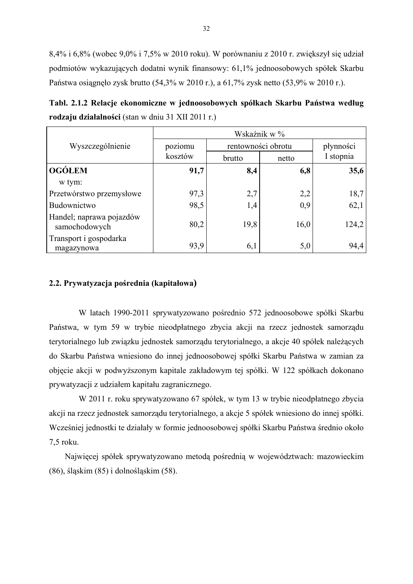8,4% i 6,8% (wobec 9,0% i 7,5% w 2010 roku). W porównaniu z 2010 r. zwiększył się udział podmiotów wykazujących dodatni wynik finansowy: 61,1% jednoosobowych spółek Skarbu Państwa osiągnęło zysk brutto (54,3% w 2010 r.), a 61,7% zysk netto (53,9% w 2010 r.).

**Tabl. 2.1.2 Relacje ekonomiczne w jednoosobowych spółkach Skarbu Państwa według rodzaju działalności** (stan w dniu 31 XII 2011 r.)

|                                           | Wskaźnik w % |                    |           |           |  |  |
|-------------------------------------------|--------------|--------------------|-----------|-----------|--|--|
| Wyszczególnienie                          | poziomu      | rentowności obrotu | płynności |           |  |  |
|                                           | kosztów      | brutto             | netto     | I stopnia |  |  |
| <b>OGÓLEM</b>                             | 91,7         | 8,4                | 6,8       | 35,6      |  |  |
| w tym:                                    |              |                    |           |           |  |  |
| Przetwórstwo przemysłowe                  | 97,3         | 2,7                | 2,2       | 18,7      |  |  |
| Budownictwo                               | 98,5         | 1,4                | 0,9       | 62,1      |  |  |
| Handel; naprawa pojazdów<br>samochodowych | 80,2         | 19,8               | 16,0      | 124,2     |  |  |
| Transport i gospodarka<br>magazynowa      | 93,9         | 6,1                | 5,0       | 94,4      |  |  |

#### **2.2. Prywatyzacja pośrednia (kapitałowa)**

W latach 1990-2011 sprywatyzowano pośrednio 572 jednoosobowe spółki Skarbu Państwa, w tym 59 w trybie nieodpłatnego zbycia akcji na rzecz jednostek samorządu terytorialnego lub związku jednostek samorządu terytorialnego, a akcje 40 spółek należących do Skarbu Państwa wniesiono do innej jednoosobowej spółki Skarbu Państwa w zamian za objęcie akcji w podwyższonym kapitale zakładowym tej spółki. W 122 spółkach dokonano prywatyzacji z udziałem kapitału zagranicznego.

W 2011 r. roku sprywatyzowano 67 spółek, w tym 13 w trybie nieodpłatnego zbycia akcji na rzecz jednostek samorządu terytorialnego, a akcje 5 spółek wniesiono do innej spółki. Wcześniej jednostki te działały w formie jednoosobowej spółki Skarbu Państwa średnio około 7,5 roku.

Najwięcej spółek sprywatyzowano metodą pośrednią w województwach: mazowieckim (86), śląskim (85) i dolnośląskim (58).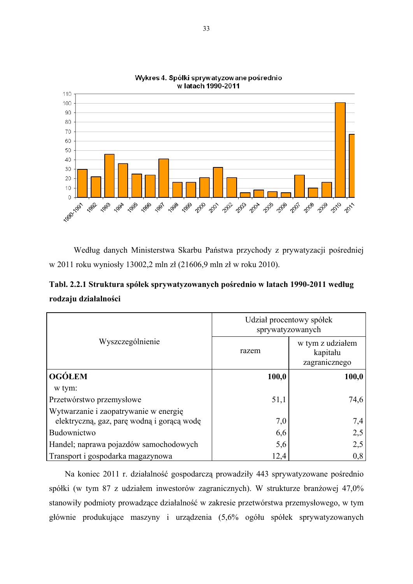

Wykres 4. Spółki sprywatyzowane pośrednio w latach 1990-2011

Według danych Ministerstwa Skarbu Państwa przychody z prywatyzacji pośredniej w 2011 roku wyniosły 13002,2 mln zł (21606,9 mln zł w roku 2010).

**Tabl. 2.2.1 Struktura spółek sprywatyzowanych pośrednio w latach 1990-2011 według rodzaju działalności** 

|                                            | Udział procentowy spółek<br>sprywatyzowanych |                                               |  |  |
|--------------------------------------------|----------------------------------------------|-----------------------------------------------|--|--|
| Wyszczególnienie                           | razem                                        | w tym z udziałem<br>kapitału<br>zagranicznego |  |  |
| <b>OGÓŁEM</b>                              | 100,0                                        | 100,0                                         |  |  |
| w tym:                                     |                                              |                                               |  |  |
| Przetwórstwo przemysłowe                   | 51,1                                         | 74,6                                          |  |  |
| Wytwarzanie i zaopatrywanie w energię      |                                              |                                               |  |  |
| elektryczną, gaz, parę wodną i gorącą wodę | 7,0                                          | 7,4                                           |  |  |
| Budownictwo                                | 6,6                                          | 2,5                                           |  |  |
| Handel; naprawa pojazdów samochodowych     | 5,6                                          | 2,5                                           |  |  |
| Transport i gospodarka magazynowa          | 12,4                                         | 0,8                                           |  |  |

Na koniec 2011 r. działalność gospodarczą prowadziły 443 sprywatyzowane pośrednio spółki (w tym 87 z udziałem inwestorów zagranicznych). W strukturze branżowej 47,0% stanowiły podmioty prowadzące działalność w zakresie przetwórstwa przemysłowego, w tym głównie produkujące maszyny i urządzenia (5,6% ogółu spółek sprywatyzowanych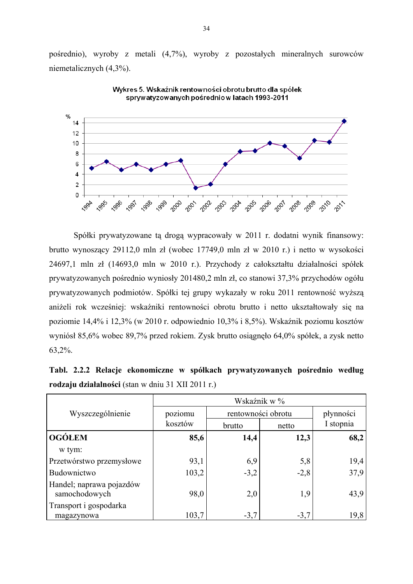pośrednio), wyroby z metali (4,7%), wyroby z pozostałych mineralnych surowców niemetalicznych (4,3%).



Wykres 5. Wskaźnik rentowności obrotu brutto dla spółek sprywatyzowanych pośrednio w latach 1993-2011

Spółki prywatyzowane tą drogą wypracowały w 2011 r. dodatni wynik finansowy: brutto wynoszący 29112,0 mln zł (wobec 17749,0 mln zł w 2010 r.) i netto w wysokości 24697,1 mln zł (14693,0 mln w 2010 r.). Przychody z całokształtu działalności spółek prywatyzowanych pośrednio wyniosły 201480,2 mln zł, co stanowi 37,3% przychodów ogółu prywatyzowanych podmiotów. Spółki tej grupy wykazały w roku 2011 rentowność wyższą aniżeli rok wcześniej: wskaźniki rentowności obrotu brutto i netto ukształtowały się na poziomie 14,4% i 12,3% (w 2010 r. odpowiednio 10,3% i 8,5%). Wskaźnik poziomu kosztów wyniósł 85,6% wobec 89,7% przed rokiem. Zysk brutto osiągnęło 64,0% spółek, a zysk netto 63,2%.

**Tabl. 2.2.2 Relacje ekonomiczne w spółkach prywatyzowanych pośrednio według rodzaju działalności** (stan w dniu 31 XII 2011 r.)

|                                           | Wskaźnik w % |                    |           |           |  |  |  |
|-------------------------------------------|--------------|--------------------|-----------|-----------|--|--|--|
| Wyszczególnienie                          | poziomu      | rentowności obrotu | płynności |           |  |  |  |
|                                           | kosztów      | brutto             | netto     | I stopnia |  |  |  |
| <b>OGÓLEM</b>                             | 85,6         | 14,4               | 12,3      | 68,2      |  |  |  |
| w tym:                                    |              |                    |           |           |  |  |  |
| Przetwórstwo przemysłowe                  | 93,1         | 6,9                | 5,8       | 19,4      |  |  |  |
| Budownictwo                               | 103,2        | $-3,2$             | $-2,8$    | 37,9      |  |  |  |
| Handel; naprawa pojazdów<br>samochodowych | 98,0         | 2,0                | 1,9       | 43,9      |  |  |  |
| Transport i gospodarka                    |              |                    |           |           |  |  |  |
| magazynowa                                | 103,7        | $-3,7$             | $-3,7$    | 19,8      |  |  |  |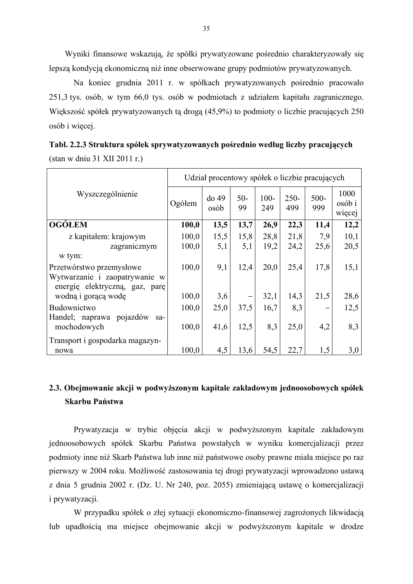Wyniki finansowe wskazują, że spółki prywatyzowane pośrednio charakteryzowały się lepszą kondycją ekonomiczną niż inne obserwowane grupy podmiotów prywatyzowanych.

 Na koniec grudnia 2011 r. w spółkach prywatyzowanych pośrednio pracowało 251,3 tys. osób, w tym 66,0 tys. osób w podmiotach z udziałem kapitału zagranicznego. Większość spółek prywatyzowanych tą drogą (45,9%) to podmioty o liczbie pracujących 250 osób i więcej.

|                                                                                             | Udział procentowy spółek o liczbie pracujących |                 |             |                |                |                |                          |  |  |
|---------------------------------------------------------------------------------------------|------------------------------------------------|-----------------|-------------|----------------|----------------|----------------|--------------------------|--|--|
| Wyszczególnienie                                                                            | Ogółem                                         | $do$ 49<br>osób | $50-$<br>99 | $100 -$<br>249 | $250 -$<br>499 | $500 -$<br>999 | 1000<br>osób i<br>więcej |  |  |
| <b>OGÓLEM</b>                                                                               | 100,0                                          | 13,5            | 13,7        | 26,9           | 22,3           | 11,4           | 12,2                     |  |  |
| z kapitałem: krajowym                                                                       | 100,0                                          | 15,5            | 15,8        | 28,8           | 21,8           | 7,9            | 10,1                     |  |  |
| zagranicznym                                                                                | 100,0                                          | 5,1             | 5,1         | 19,2           | 24,2           | 25,6           | 20,5                     |  |  |
| w tym:                                                                                      |                                                |                 |             |                |                |                |                          |  |  |
| Przetwórstwo przemysłowe<br>Wytwarzanie i zaopatrywanie w<br>energię elektryczną, gaz, parę | 100,0                                          | 9,1             | 12,4        | 20,0           | 25,4           | 17,8           | 15,1                     |  |  |
| wodną i gorącą wodę                                                                         | 100,0                                          | 3,6             |             | 32,1           | 14,3           | 21,5           | 28,6                     |  |  |
| Budownictwo                                                                                 | 100,0                                          | 25,0            | 37,5        | 16,7           | 8,3            |                | 12,5                     |  |  |
| pojazdów<br>Handel; naprawa<br>sa-<br>mochodowych                                           | 100,0                                          | 41,6            | 12,5        | 8,3            | 25,0           | 4,2            | 8,3                      |  |  |
| Transport i gospodarka magazyn-<br>nowa                                                     | 100,0                                          | 4,5             | 13,6        | 54,5           | 22,7           | 1,5            | 3,0                      |  |  |

| Tabl. 2.2.3 Struktura spółek sprywatyzowanych pośrednio według liczby pracujących |  |
|-----------------------------------------------------------------------------------|--|
| $(\sin w \sin 31 \times 11 \times 2011 \text{ r.})$                               |  |

# **2.3. Obejmowanie akcji w podwyższonym kapitale zakładowym jednoosobowych spółek Skarbu Państwa**

Prywatyzacja w trybie objęcia akcji w podwyższonym kapitale zakładowym jednoosobowych spółek Skarbu Państwa powstałych w wyniku komercjalizacji przez podmioty inne niż Skarb Państwa lub inne niż państwowe osoby prawne miała miejsce po raz pierwszy w 2004 roku. Możliwość zastosowania tej drogi prywatyzacji wprowadzono ustawą z dnia 5 grudnia 2002 r. (Dz. U. Nr 240, poz. 2055) zmieniającą ustawę o komercjalizacji i prywatyzacji.

W przypadku spółek o złej sytuacji ekonomiczno-finansowej zagrożonych likwidacją lub upadłością ma miejsce obejmowanie akcji w podwyższonym kapitale w drodze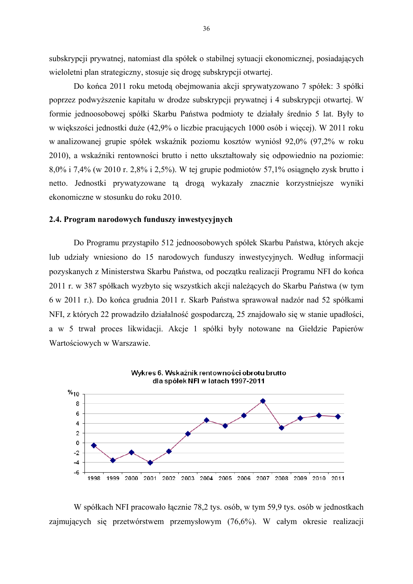subskrypcji prywatnej, natomiast dla spółek o stabilnej sytuacji ekonomicznej, posiadających wieloletni plan strategiczny, stosuje się drogę subskrypcji otwartej.

Do końca 2011 roku metodą obejmowania akcji sprywatyzowano 7 spółek: 3 spółki poprzez podwyższenie kapitału w drodze subskrypcji prywatnej i 4 subskrypcji otwartej. W formie jednoosobowej spółki Skarbu Państwa podmioty te działały średnio 5 lat. Były to w większości jednostki duże (42,9% o liczbie pracujących 1000 osób i więcej). W 2011 roku w analizowanej grupie spółek wskaźnik poziomu kosztów wyniósł 92,0% (97,2% w roku 2010), a wskaźniki rentowności brutto i netto ukształtowały się odpowiednio na poziomie: 8,0% i 7,4% (w 2010 r. 2,8% i 2,5%). W tej grupie podmiotów 57,1% osiągnęło zysk brutto i netto. Jednostki prywatyzowane tą drogą wykazały znacznie korzystniejsze wyniki ekonomiczne w stosunku do roku 2010.

#### **2.4. Program narodowych funduszy inwestycyjnych**

 Do Programu przystąpiło 512 jednoosobowych spółek Skarbu Państwa, których akcje lub udziały wniesiono do 15 narodowych funduszy inwestycyjnych. Według informacji pozyskanych z Ministerstwa Skarbu Państwa, od początku realizacji Programu NFI do końca 2011 r. w 387 spółkach wyzbyto się wszystkich akcji należących do Skarbu Państwa (w tym 6 w 2011 r.). Do końca grudnia 2011 r. Skarb Państwa sprawował nadzór nad 52 spółkami NFI, z których 22 prowadziło działalność gospodarczą, 25 znajdowało się w stanie upadłości, a w 5 trwał proces likwidacji. Akcje 1 spółki były notowane na Giełdzie Papierów Wartościowych w Warszawie.



W spółkach NFI pracowało łącznie 78,2 tys. osób, w tym 59,9 tys. osób w jednostkach zajmujących się przetwórstwem przemysłowym (76,6%). W całym okresie realizacji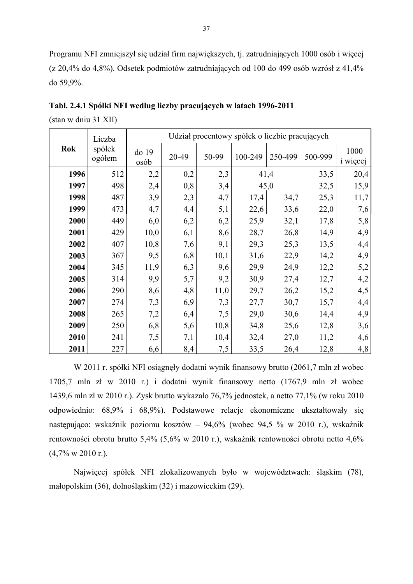Programu NFI zmniejszył się udział firm największych, tj. zatrudniających 1000 osób i więcej (z 20,4% do 4,8%). Odsetek podmiotów zatrudniających od 100 do 499 osób wzrósł z 41,4% do 59,9%.

|      | Liczba           |               | Udział procentowy spółek o liczbie pracujących |       |         |         |         |                         |  |
|------|------------------|---------------|------------------------------------------------|-------|---------|---------|---------|-------------------------|--|
| Rok  | spółek<br>ogółem | do 19<br>osób | 20-49                                          | 50-99 | 100-249 | 250-499 | 500-999 | 1000<br><i>i</i> więcej |  |
| 1996 | 512              | 2,2           | 0,2                                            | 2,3   |         | 41,4    | 33,5    | 20,4                    |  |
| 1997 | 498              | 2,4           | 0,8                                            | 3,4   |         | 45,0    | 32,5    | 15,9                    |  |
| 1998 | 487              | 3,9           | 2,3                                            | 4,7   | 17,4    | 34,7    | 25,3    | 11,7                    |  |
| 1999 | 473              | 4,7           | 4,4                                            | 5,1   | 22,6    | 33,6    | 22,0    | 7,6                     |  |
| 2000 | 449              | 6,0           | 6,2                                            | 6,2   | 25,9    | 32,1    | 17,8    | 5,8                     |  |
| 2001 | 429              | 10,0          | 6,1                                            | 8,6   | 28,7    | 26,8    | 14,9    | 4,9                     |  |
| 2002 | 407              | 10,8          | 7,6                                            | 9,1   | 29,3    | 25,3    | 13,5    | 4,4                     |  |
| 2003 | 367              | 9,5           | 6,8                                            | 10,1  | 31,6    | 22,9    | 14,2    | 4,9                     |  |
| 2004 | 345              | 11,9          | 6,3                                            | 9,6   | 29,9    | 24,9    | 12,2    | 5,2                     |  |
| 2005 | 314              | 9,9           | 5,7                                            | 9,2   | 30,9    | 27,4    | 12,7    | 4,2                     |  |
| 2006 | 290              | 8,6           | 4,8                                            | 11,0  | 29,7    | 26,2    | 15,2    | 4,5                     |  |
| 2007 | 274              | 7,3           | 6,9                                            | 7,3   | 27,7    | 30,7    | 15,7    | 4,4                     |  |
| 2008 | 265              | 7,2           | 6,4                                            | 7,5   | 29,0    | 30,6    | 14,4    | 4,9                     |  |
| 2009 | 250              | 6,8           | 5,6                                            | 10,8  | 34,8    | 25,6    | 12,8    | 3,6                     |  |
| 2010 | 241              | 7,5           | 7,1                                            | 10,4  | 32,4    | 27,0    | 11,2    | 4,6                     |  |
| 2011 | 227              | 6,6           | 8,4                                            | 7,5   | 33,5    | 26,4    | 12,8    | 4,8                     |  |

**Tabl. 2.4.1 Spółki NFI według liczby pracujących w latach 1996-2011** 

(stan w dniu 31 XII)

W 2011 r. spółki NFI osiągnęły dodatni wynik finansowy brutto (2061,7 mln zł wobec 1705,7 mln zł w 2010 r.) i dodatni wynik finansowy netto (1767,9 mln zł wobec 1439,6 mln zł w 2010 r.). Zysk brutto wykazało 76,7% jednostek, a netto 77,1% (w roku 2010 odpowiednio: 68,9% i 68,9%). Podstawowe relacje ekonomiczne ukształtowały się następująco: wskaźnik poziomu kosztów – 94,6% (wobec 94,5 % w 2010 r.), wskaźnik rentowności obrotu brutto 5,4% (5,6% w 2010 r.), wskaźnik rentowności obrotu netto 4,6%  $(4,7\% \text{ w } 2010 \text{ r.})$ .

Najwięcej spółek NFI zlokalizowanych było w województwach: śląskim (78), małopolskim (36), dolnośląskim (32) i mazowieckim (29).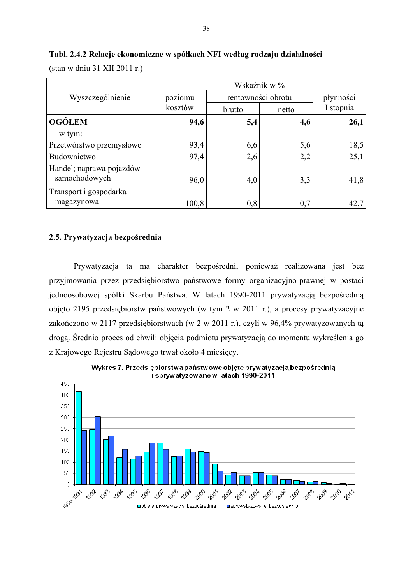|                                           | Wskaźnik w % |                    |           |           |  |  |
|-------------------------------------------|--------------|--------------------|-----------|-----------|--|--|
| Wyszczególnienie                          | poziomu      | rentowności obrotu | płynności |           |  |  |
|                                           | kosztów      | brutto             | netto     | I stopnia |  |  |
| <b>OGÓŁEM</b>                             | 94,6         | 5,4                | 4,6       | 26,1      |  |  |
| w tym:                                    |              |                    |           |           |  |  |
| Przetwórstwo przemysłowe                  | 93,4         | 6,6                | 5,6       | 18,5      |  |  |
| Budownictwo                               | 97,4         | 2,6                | 2,2       | 25,1      |  |  |
| Handel; naprawa pojazdów<br>samochodowych | 96,0         | 4,0                | 3,3       | 41,8      |  |  |
| Transport i gospodarka<br>magazynowa      | 100,8        | $-0,8$             | $-0,7$    | 42,7      |  |  |

38

#### **Tabl. 2.4.2 Relacje ekonomiczne w spółkach NFI według rodzaju działalności**

(stan w dniu 31 XII 2011 r.)

#### **2.5. Prywatyzacja bezpośrednia**

 Prywatyzacja ta ma charakter bezpośredni, ponieważ realizowana jest bez przyjmowania przez przedsiębiorstwo państwowe formy organizacyjno-prawnej w postaci jednoosobowej spółki Skarbu Państwa. W latach 1990-2011 prywatyzacją bezpośrednią objęto 2195 przedsiębiorstw państwowych (w tym 2 w 2011 r.), a procesy prywatyzacyjne zakończono w 2117 przedsiębiorstwach (w 2 w 2011 r.), czyli w 96,4% prywatyzowanych tą drogą. Średnio proces od chwili objęcia podmiotu prywatyzacją do momentu wykreślenia go z Krajowego Rejestru Sądowego trwał około 4 miesięcy.

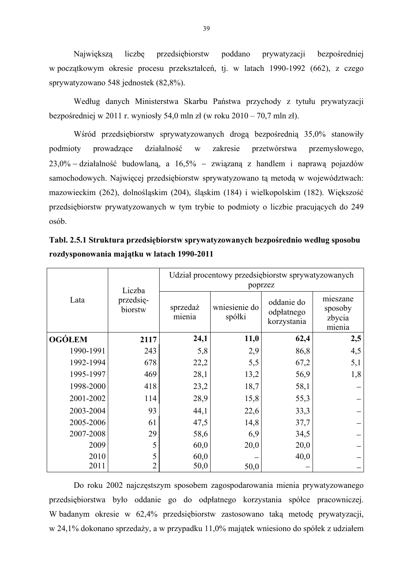Największą liczbę przedsiębiorstw poddano prywatyzacji bezpośredniej w początkowym okresie procesu przekształceń, tj. w latach 1990-1992 (662), z czego sprywatyzowano 548 jednostek (82,8%).

Według danych Ministerstwa Skarbu Państwa przychody z tytułu prywatyzacji bezpośredniej w 2011 r. wyniosły 54,0 mln zł (w roku 2010 – 70,7 mln zł).

 Wśród przedsiębiorstw sprywatyzowanych drogą bezpośrednią 35,0% stanowiły podmioty prowadzące działalność w zakresie przetwórstwa przemysłowego,  $23,0\%$  – działalność budowlaną, a  $16,5\%$  – związaną z handlem i naprawą pojazdów samochodowych. Najwięcej przedsiębiorstw sprywatyzowano tą metodą w województwach: mazowieckim (262), dolnośląskim (204), śląskim (184) i wielkopolskim (182). Większość przedsiębiorstw prywatyzowanych w tym trybie to podmioty o liczbie pracujących do 249 osób.

|               | Liczba               | Udział procentowy przedsiębiorstw sprywatyzowanych<br>poprzez |                         |                                         |                                         |  |  |  |
|---------------|----------------------|---------------------------------------------------------------|-------------------------|-----------------------------------------|-----------------------------------------|--|--|--|
| Lata          | przedsię-<br>biorstw |                                                               | wniesienie do<br>spółki | oddanie do<br>odpłatnego<br>korzystania | mieszane<br>sposoby<br>zbycia<br>mienia |  |  |  |
| <b>OGÓŁEM</b> | 2117                 | 24,1                                                          | 11,0                    | 62,4                                    | 2,5                                     |  |  |  |
| 1990-1991     | 243                  | 5,8                                                           | 2,9                     | 86,8                                    | 4,5                                     |  |  |  |
| 1992-1994     | 678                  | 22,2                                                          | 5,5                     | 67,2                                    | 5,1                                     |  |  |  |
| 1995-1997     | 469                  | 28,1                                                          | 13,2                    | 56,9                                    | 1,8                                     |  |  |  |
| 1998-2000     | 418                  | 23,2                                                          | 18,7                    | 58,1                                    |                                         |  |  |  |
| 2001-2002     | 114                  | 28,9                                                          | 15,8                    | 55,3                                    |                                         |  |  |  |
| 2003-2004     | 93                   | 44,1                                                          | 22,6                    | 33,3                                    |                                         |  |  |  |
| 2005-2006     | 61                   | 47,5                                                          | 14,8                    | 37,7                                    |                                         |  |  |  |
| 2007-2008     | 29                   | 58,6                                                          | 6,9                     | 34,5                                    |                                         |  |  |  |
| 2009          | 5                    | 60,0                                                          | 20,0                    | 20,0                                    |                                         |  |  |  |
| 2010          | 5                    | 60,0                                                          |                         | 40,0                                    |                                         |  |  |  |
| 2011          | 2                    | 50,0                                                          | 50,0                    |                                         |                                         |  |  |  |

**Tabl. 2.5.1 Struktura przedsiębiorstw sprywatyzowanych bezpośrednio według sposobu rozdysponowania majątku w latach 1990-2011** 

Do roku 2002 najczęstszym sposobem zagospodarowania mienia prywatyzowanego przedsiębiorstwa było oddanie go do odpłatnego korzystania spółce pracowniczej. W badanym okresie w 62,4% przedsiębiorstw zastosowano taką metodę prywatyzacji, w 24,1% dokonano sprzedaży, a w przypadku 11,0% majątek wniesiono do spółek z udziałem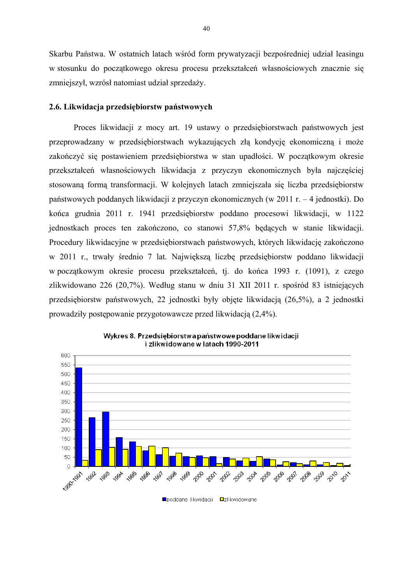Skarbu Państwa. W ostatnich latach wśród form prywatyzacji bezpośredniej udział leasingu w stosunku do początkowego okresu procesu przekształceń własnościowych znacznie się zmniejszył, wzrósł natomiast udział sprzedaży.

#### **2.6. Likwidacja przedsiębiorstw państwowych**

 Proces likwidacji z mocy art. 19 ustawy o przedsiębiorstwach państwowych jest przeprowadzany w przedsiębiorstwach wykazujących złą kondycję ekonomiczną i może zakończyć się postawieniem przedsiębiorstwa w stan upadłości. W początkowym okresie przekształceń własnościowych likwidacja z przyczyn ekonomicznych była najczęściej stosowaną formą transformacji. W kolejnych latach zmniejszała się liczba przedsiębiorstw państwowych poddanych likwidacji z przyczyn ekonomicznych (w 2011 r. – 4 jednostki). Do końca grudnia 2011 r. 1941 przedsiębiorstw poddano procesowi likwidacji, w 1122 jednostkach proces ten zakończono, co stanowi 57,8% będących w stanie likwidacji. Procedury likwidacyjne w przedsiębiorstwach państwowych, których likwidację zakończono w 2011 r., trwały średnio 7 lat. Największą liczbę przedsiębiorstw poddano likwidacji w początkowym okresie procesu przekształceń, tj. do końca 1993 r. (1091), z czego zlikwidowano 226 (20,7%). Według stanu w dniu 31 XII 2011 r. spośród 83 istniejących przedsiębiorstw państwowych, 22 jednostki były objęte likwidacją (26,5%), a 2 jednostki prowadziły postępowanie przygotowawcze przed likwidacją (2,4%).



Wykres 8. Przedsiębiorstwa państwowe poddane likwidacji i zlikwidowane w latach 1990-2011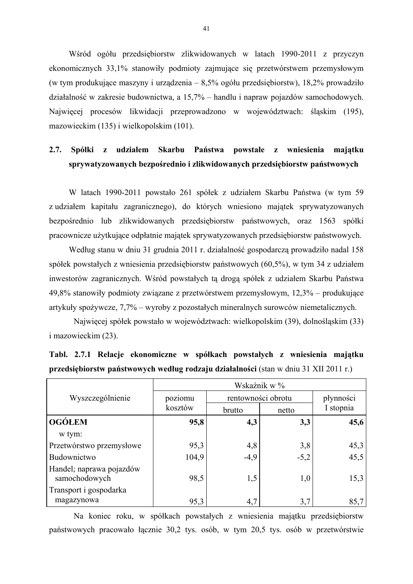Wśród ogółu przedsiębiorstw zlikwidowanych w latach 1990-2011 z przyczyn ekonomicznych 33,1% stanowiły podmioty zajmujące się przetwórstwem przemysłowym (w tym produkujące maszyny i urządzenia – 8,5% ogółu przedsiębiorstw), 18,2% prowadziło działalność w zakresie budownictwa, a 15,7% – handlu i napraw pojazdów samochodowych. Najwięcej procesów likwidacji przeprowadzono w województwach: śląskim (195), mazowieckim (135) i wielkopolskim (101).

## **2.7. Spółki z udziałem Skarbu Państwa powstałe z wniesienia majątku sprywatyzowanych bezpośrednio i zlikwidowanych przedsiębiorstw państwowych**

W latach 1990-2011 powstało 261 spółek z udziałem Skarbu Państwa (w tym 59 z udziałem kapitału zagranicznego), do których wniesiono majątek sprywatyzowanych bezpośrednio lub zlikwidowanych przedsiębiorstw państwowych, oraz 1563 spółki pracownicze użytkujące odpłatnie majątek sprywatyzowanych przedsiębiorstw państwowych.

Według stanu w dniu 31 grudnia 2011 r. działalność gospodarczą prowadziło nadal 158 spółek powstałych z wniesienia przedsiębiorstw państwowych (60,5%), w tym 34 z udziałem inwestorów zagranicznych. Wśród powstałych tą drogą spółek z udziałem Skarbu Państwa 49,8% stanowiły podmioty związane z przetwórstwem przemysłowym, 12,3% – produkujące artykuły spożywcze, 7,7% – wyroby z pozostałych mineralnych surowców niemetalicznych.

Najwięcej spółek powstało w województwach: wielkopolskim (39), dolnośląskim (33) i mazowieckim (23).

|                                           | Wskaźnik w % |                    |           |           |  |  |  |
|-------------------------------------------|--------------|--------------------|-----------|-----------|--|--|--|
| Wyszczególnienie                          | poziomu      | rentowności obrotu | płynności |           |  |  |  |
|                                           | kosztów      | brutto             | netto     | I stopnia |  |  |  |
| <b>OGÓŁEM</b>                             | 95,8         | 4,3                | 3,3       | 45,6      |  |  |  |
| w tym:                                    |              |                    |           |           |  |  |  |
| Przetwórstwo przemysłowe                  | 95,3         | 4,8                | 3,8       | 45,3      |  |  |  |
| Budownictwo                               | 104,9        | $-4,9$             | $-5,2$    | 45,5      |  |  |  |
| Handel; naprawa pojazdów<br>samochodowych | 98,5         | 1,5                | 1,0       | 15,3      |  |  |  |
| Transport i gospodarka<br>magazynowa      | 95,3         | 4,7                | 3,7       | 85,7      |  |  |  |

**Tabl. 2.7.1 Relacje ekonomiczne w spółkach powstałych z wniesienia majątku przedsiębiorstw państwowych według rodzaju działalności** (stan w dniu 31 XII 2011 r.)

Na koniec roku, w spółkach powstałych z wniesienia majątku przedsiębiorstw państwowych pracowało łącznie 30,2 tys. osób, w tym 20,5 tys. osób w przetwórstwie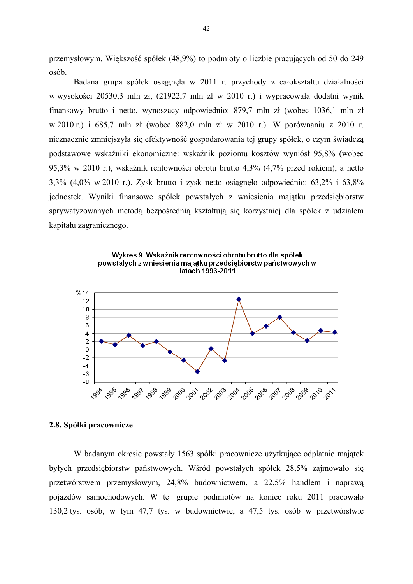przemysłowym. Większość spółek (48,9%) to podmioty o liczbie pracujących od 50 do 249 osób.

Badana grupa spółek osiągnęła w 2011 r. przychody z całokształtu działalności w wysokości 20530,3 mln zł, (21922,7 mln zł w 2010 r.) i wypracowała dodatni wynik finansowy brutto i netto, wynoszący odpowiednio: 879,7 mln zł (wobec 1036,1 mln zł w 2010 r.) i 685,7 mln zł (wobec 882,0 mln zł w 2010 r.). W porównaniu z 2010 r. nieznacznie zmniejszyła się efektywność gospodarowania tej grupy spółek, o czym świadczą podstawowe wskaźniki ekonomiczne: wskaźnik poziomu kosztów wyniósł 95,8% (wobec 95,3% w 2010 r.), wskaźnik rentowności obrotu brutto 4,3% (4,7% przed rokiem), a netto 3,3% (4,0% w 2010 r.). Zysk brutto i zysk netto osiągnęło odpowiednio: 63,2% i 63,8% jednostek. Wyniki finansowe spółek powstałych z wniesienia majątku przedsiębiorstw sprywatyzowanych metodą bezpośrednią kształtują się korzystniej dla spółek z udziałem kapitału zagranicznego.



Wykres 9. Wskaźnik rentowności obrotu brutto dla spółek powstałych z wniesienia majątku przedsiębiorstw państwowych w

#### **2.8. Spółki pracownicze**

W badanym okresie powstały 1563 spółki pracownicze użytkujące odpłatnie majątek byłych przedsiębiorstw państwowych. Wśród powstałych spółek 28,5% zajmowało się przetwórstwem przemysłowym, 24,8% budownictwem, a 22,5% handlem i naprawą pojazdów samochodowych. W tej grupie podmiotów na koniec roku 2011 pracowało 130,2 tys. osób, w tym 47,7 tys. w budownictwie, a 47,5 tys. osób w przetwórstwie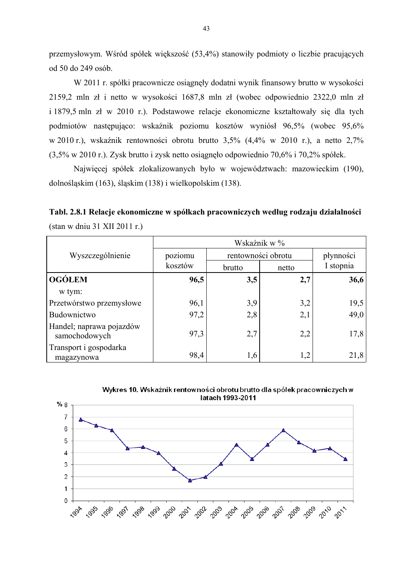przemysłowym. Wśród spółek większość (53,4%) stanowiły podmioty o liczbie pracujących od 50 do 249 osób.

W 2011 r. spółki pracownicze osiągnęły dodatni wynik finansowy brutto w wysokości 2159,2 mln zł i netto w wysokości 1687,8 mln zł (wobec odpowiednio 2322,0 mln zł i 1879,5 mln zł w 2010 r.). Podstawowe relacje ekonomiczne kształtowały się dla tych podmiotów następująco: wskaźnik poziomu kosztów wyniósł 96,5% (wobec 95,6% w 2010 r.), wskaźnik rentowności obrotu brutto 3,5% (4,4% w 2010 r.), a netto 2,7% (3,5% w 2010 r.). Zysk brutto i zysk netto osiągnęło odpowiednio 70,6% i 70,2% spółek.

 Najwięcej spółek zlokalizowanych było w województwach: mazowieckim (190), dolnośląskim (163), śląskim (138) i wielkopolskim (138).

**Tabl. 2.8.1 Relacje ekonomiczne w spółkach pracowniczych według rodzaju działalności**  (stan w dniu 31 XII 2011 r.)

|                                           | Wskaźnik w % |                    |       |           |  |  |  |
|-------------------------------------------|--------------|--------------------|-------|-----------|--|--|--|
| Wyszczególnienie                          | poziomu      | rentowności obrotu |       | płynności |  |  |  |
|                                           | kosztów      | brutto             | netto | I stopnia |  |  |  |
| <b>OGÓLEM</b>                             | 96,5         | 3,5                | 2,7   | 36,6      |  |  |  |
| w tym:                                    |              |                    |       |           |  |  |  |
| Przetwórstwo przemysłowe                  | 96,1         | 3,9                | 3,2   | 19,5      |  |  |  |
| Budownictwo                               | 97,2         | 2,8                | 2,1   | 49,0      |  |  |  |
| Handel; naprawa pojazdów<br>samochodowych | 97,3         | 2,7                | 2,2   | 17,8      |  |  |  |
| Transport i gospodarka<br>magazynowa      | 98,4         | 1,6                | 1,2   | 21,8      |  |  |  |



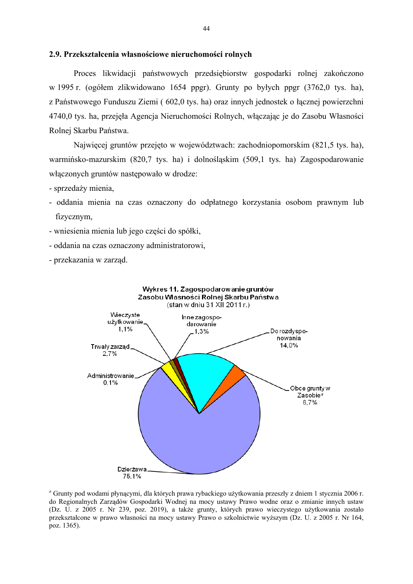#### **2.9. Przekształcenia własnościowe nieruchomości rolnych**

 Proces likwidacji państwowych przedsiębiorstw gospodarki rolnej zakończono w 1995 r. (ogółem zlikwidowano 1654 ppgr). Grunty po byłych ppgr (3762,0 tys. ha), z Państwowego Funduszu Ziemi ( 602,0 tys. ha) oraz innych jednostek o łącznej powierzchni 4740,0 tys. ha, przejęła Agencja Nieruchomości Rolnych, włączając je do Zasobu Własności Rolnej Skarbu Państwa.

Najwięcej gruntów przejęto w województwach: zachodniopomorskim (821,5 tys. ha), warmińsko-mazurskim (820,7 tys. ha) i dolnośląskim (509,1 tys. ha) Zagospodarowanie włączonych gruntów następowało w drodze:

- sprzedaży mienia,
- oddania mienia na czas oznaczony do odpłatnego korzystania osobom prawnym lub fizycznym,
- wniesienia mienia lub jego części do spółki,
- oddania na czas oznaczony administratorowi,
- przekazania w zarząd.



*<sup>a</sup>* Grunty pod wodami płynącymi, dla których prawa rybackiego użytkowania przeszły z dniem 1 stycznia 2006 r. do Regionalnych Zarządów Gospodarki Wodnej na mocy ustawy Prawo wodne oraz o zmianie innych ustaw (Dz. U. z 2005 r. Nr 239, poz. 2019), a także grunty, których prawo wieczystego użytkowania zostało przekształcone w prawo własności na mocy ustawy Prawo o szkolnictwie wyższym (Dz. U. z 2005 r. Nr 164, poz. 1365).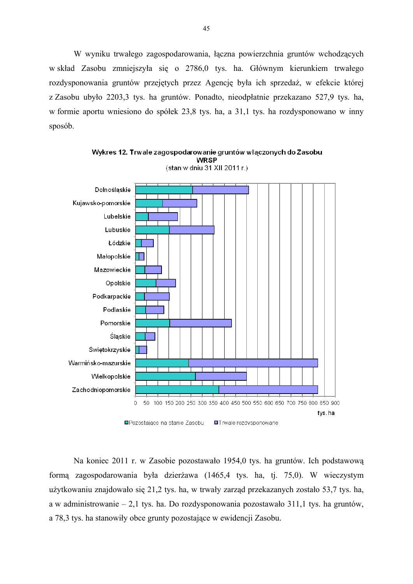W wyniku trwałego zagospodarowania, łączna powierzchnia gruntów wchodzących w skład Zasobu zmniejszyła się o 2786,0 tys. ha. Głównym kierunkiem trwałego rozdysponowania gruntów przejętych przez Agencję była ich sprzedaż, w efekcie której z Zasobu ubyło 2203,3 tys. ha gruntów. Ponadto, nieodpłatnie przekazano 527,9 tys. ha, w formie aportu wniesiono do spółek 23,8 tys. ha, a 31,1 tys. ha rozdysponowano w inny sposób.



**WRSP** (stan w dniu 31 XII 2011 r.)

Wykres 12. Trwale zagospodarowanie gruntów włączonych do Zasobu

 Na koniec 2011 r. w Zasobie pozostawało 1954,0 tys. ha gruntów. Ich podstawową formą zagospodarowania była dzierżawa (1465,4 tys. ha, tj. 75,0). W wieczystym użytkowaniu znajdowało się 21,2 tys. ha, w trwały zarząd przekazanych zostało 53,7 tys. ha, a w administrowanie – 2,1 tys. ha. Do rozdysponowania pozostawało 311,1 tys. ha gruntów, a 78,3 tys. ha stanowiły obce grunty pozostające w ewidencji Zasobu.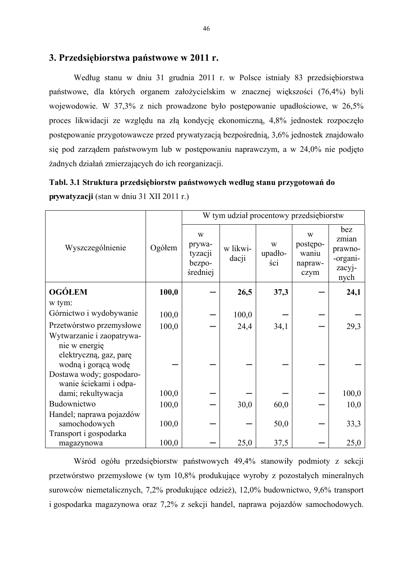### **3. Przedsiębiorstwa państwowe w 2011 r.**

 Według stanu w dniu 31 grudnia 2011 r. w Polsce istniały 83 przedsiębiorstwa państwowe, dla których organem założycielskim w znacznej większości (76,4%) byli wojewodowie. W 37,3% z nich prowadzone było postępowanie upadłościowe, w 26,5% proces likwidacji ze względu na złą kondycję ekonomiczną, 4,8% jednostek rozpoczęło postępowanie przygotowawcze przed prywatyzacją bezpośrednią, 3,6% jednostek znajdowało się pod zarządem państwowym lub w postępowaniu naprawczym, a w 24,0% nie podjęto żadnych działań zmierzających do ich reorganizacji.

| Tabl. 3.1 Struktura przedsiębiorstw państwowych według stanu przygotowań do |
|-----------------------------------------------------------------------------|
| <b>prywatyzacji</b> (stan w dniu 31 XII 2011 r.)                            |

|                                                                                             |        | W tym udział procentowy przedsiębiorstw      |                   |                     |                                           |                                                       |  |
|---------------------------------------------------------------------------------------------|--------|----------------------------------------------|-------------------|---------------------|-------------------------------------------|-------------------------------------------------------|--|
| Wyszczególnienie                                                                            | Ogółem | W<br>prywa-<br>tyzacji<br>bezpo-<br>średniej | w likwi-<br>dacji | W<br>upadło-<br>ści | W<br>postępo-<br>waniu<br>napraw-<br>czym | bez<br>zmian<br>prawno-<br>-organi-<br>zacyj-<br>nych |  |
| <b>OGÓŁEM</b>                                                                               | 100,0  |                                              | 26,5              | 37,3                |                                           | 24,1                                                  |  |
| w tym:                                                                                      |        |                                              |                   |                     |                                           |                                                       |  |
| Górnictwo i wydobywanie                                                                     | 100,0  |                                              | 100,0             |                     |                                           |                                                       |  |
| Przetwórstwo przemysłowe                                                                    | 100,0  |                                              | 24,4              | 34,1                |                                           | 29,3                                                  |  |
| Wytwarzanie i zaopatrywa-<br>nie w energie<br>elektryczną, gaz, parę<br>wodną i gorącą wodę |        |                                              |                   |                     |                                           |                                                       |  |
| Dostawa wody; gospodaro-<br>wanie ściekami i odpa-                                          |        |                                              |                   |                     |                                           |                                                       |  |
| dami; rekultywacja                                                                          | 100,0  |                                              |                   |                     |                                           | 100,0                                                 |  |
| Budownictwo                                                                                 | 100,0  |                                              | 30,0              | 60,0                |                                           | 10,0                                                  |  |
| Handel; naprawa pojazdów<br>samochodowych                                                   | 100,0  |                                              |                   | 50,0                |                                           | 33,3                                                  |  |
| Transport i gospodarka<br>magazynowa                                                        | 100,0  |                                              | 25,0              | 37,5                |                                           | 25,0                                                  |  |

 Wśród ogółu przedsiębiorstw państwowych 49,4% stanowiły podmioty z sekcji przetwórstwo przemysłowe (w tym 10,8% produkujące wyroby z pozostałych mineralnych surowców niemetalicznych, 7,2% produkujące odzież), 12,0% budownictwo, 9,6% transport i gospodarka magazynowa oraz 7,2% z sekcji handel, naprawa pojazdów samochodowych.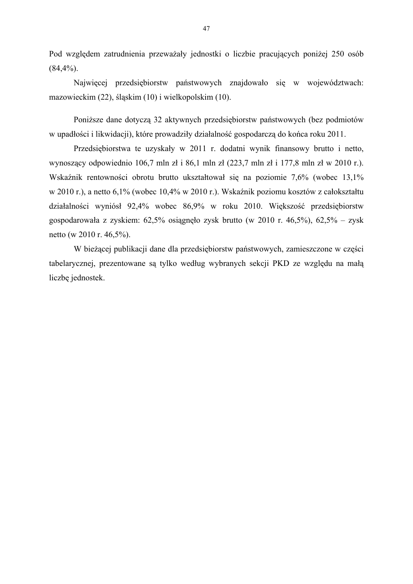Pod względem zatrudnienia przeważały jednostki o liczbie pracujących poniżej 250 osób  $(84,4%).$ 

 Najwięcej przedsiębiorstw państwowych znajdowało się w województwach: mazowieckim (22), śląskim (10) i wielkopolskim (10).

Poniższe dane dotyczą 32 aktywnych przedsiębiorstw państwowych (bez podmiotów w upadłości i likwidacji), które prowadziły działalność gospodarczą do końca roku 2011.

 Przedsiębiorstwa te uzyskały w 2011 r. dodatni wynik finansowy brutto i netto, wynoszący odpowiednio 106,7 mln zł i 86,1 mln zł (223,7 mln zł i 177,8 mln zł w 2010 r.). Wskaźnik rentowności obrotu brutto ukształtował się na poziomie 7,6% (wobec 13,1% w 2010 r.), a netto 6,1% (wobec 10,4% w 2010 r.). Wskaźnik poziomu kosztów z całokształtu działalności wyniósł 92,4% wobec 86,9% w roku 2010. Większość przedsiębiorstw gospodarowała z zyskiem: 62,5% osiągnęło zysk brutto (w 2010 r. 46,5%), 62,5% – zysk netto (w 2010 r. 46,5%).

 W bieżącej publikacji dane dla przedsiębiorstw państwowych, zamieszczone w części tabelarycznej, prezentowane są tylko według wybranych sekcji PKD ze względu na małą liczbę jednostek.